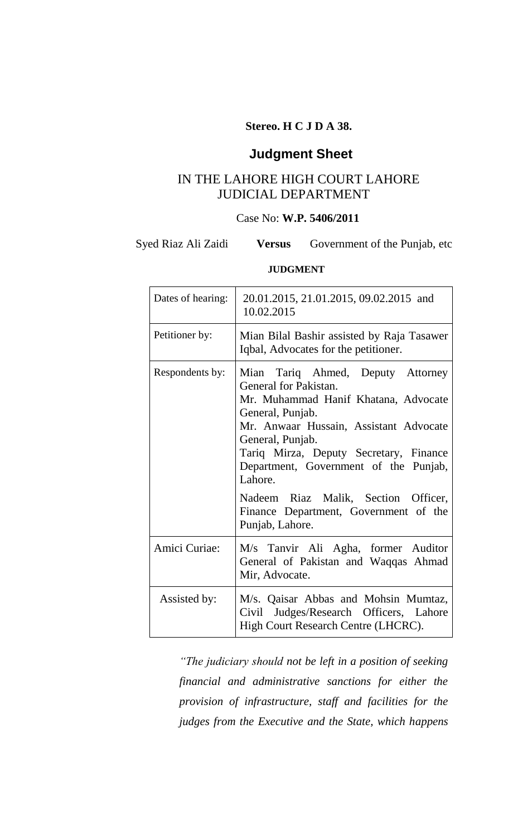### **Stereo. H C J D A 38.**

## **Judgment Sheet**

### IN THE LAHORE HIGH COURT LAHORE JUDICIAL DEPARTMENT

### Case No: **W.P. 5406/2011**

Syed Riaz Ali Zaidi **Versus** Government of the Punjab, etc.

#### **JUDGMENT**

| Dates of hearing: | 20.01.2015, 21.01.2015, 09.02.2015 and<br>10.02.2015                                                                                                                                                                                                                                                                                                                                  |
|-------------------|---------------------------------------------------------------------------------------------------------------------------------------------------------------------------------------------------------------------------------------------------------------------------------------------------------------------------------------------------------------------------------------|
| Petitioner by:    | Mian Bilal Bashir assisted by Raja Tasawer<br>Iqbal, Advocates for the petitioner.                                                                                                                                                                                                                                                                                                    |
| Respondents by:   | Mian Tariq Ahmed, Deputy Attorney<br>General for Pakistan.<br>Mr. Muhammad Hanif Khatana, Advocate<br>General, Punjab.<br>Mr. Anwaar Hussain, Assistant Advocate<br>General, Punjab.<br>Tariq Mirza, Deputy Secretary, Finance<br>Department, Government of the Punjab,<br>Lahore.<br>Nadeem Riaz Malik, Section Officer,<br>Finance Department, Government of the<br>Punjab, Lahore. |
| Amici Curiae:     | M/s Tanvir Ali Agha, former Auditor<br>General of Pakistan and Waqqas Ahmad                                                                                                                                                                                                                                                                                                           |
|                   | Mir, Advocate.                                                                                                                                                                                                                                                                                                                                                                        |
| Assisted by:      | M/s. Qaisar Abbas and Mohsin Mumtaz,<br>Civil Judges/Research Officers, Lahore<br>High Court Research Centre (LHCRC).                                                                                                                                                                                                                                                                 |

*"The judiciary should not be left in a position of seeking financial and administrative sanctions for either the provision of infrastructure, staff and facilities for the judges from the Executive and the State, which happens*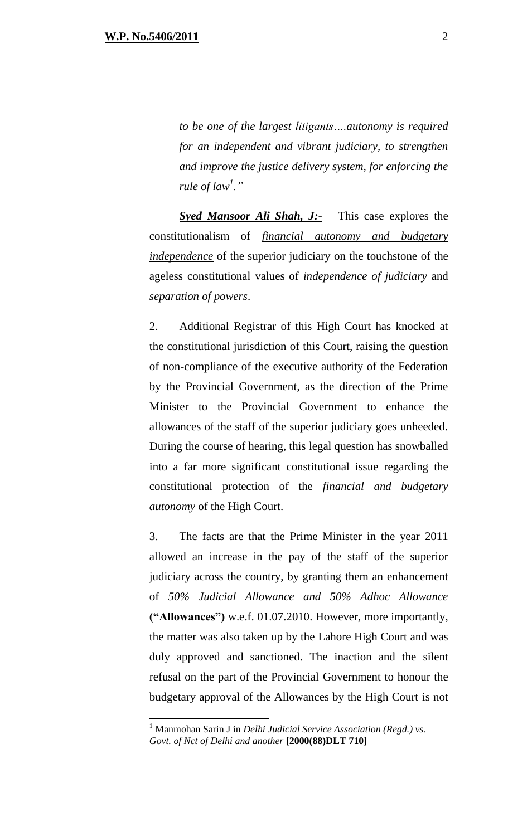*to be one of the largest litigants….autonomy is required for an independent and vibrant judiciary, to strengthen and improve the justice delivery system, for enforcing the rule of law<sup>1</sup> ."*

**Syed Mansoor Ali Shah, J:-** This case explores the constitutionalism of *financial autonomy and budgetary independence* of the superior judiciary on the touchstone of the ageless constitutional values of *independence of judiciary* and *separation of powers*.

2. Additional Registrar of this High Court has knocked at the constitutional jurisdiction of this Court, raising the question of non-compliance of the executive authority of the Federation by the Provincial Government, as the direction of the Prime Minister to the Provincial Government to enhance the allowances of the staff of the superior judiciary goes unheeded. During the course of hearing, this legal question has snowballed into a far more significant constitutional issue regarding the constitutional protection of the *financial and budgetary autonomy* of the High Court.

3. The facts are that the Prime Minister in the year 2011 allowed an increase in the pay of the staff of the superior judiciary across the country, by granting them an enhancement of *50% Judicial Allowance and 50% Adhoc Allowance* **("Allowances")** w.e.f. 01.07.2010. However, more importantly, the matter was also taken up by the Lahore High Court and was duly approved and sanctioned. The inaction and the silent refusal on the part of the Provincial Government to honour the budgetary approval of the Allowances by the High Court is not

<sup>1</sup> Manmohan Sarin J in *Delhi Judicial Service Association (Regd.) vs. Govt. of Nct of Delhi and another* **[2000(88)DLT 710]**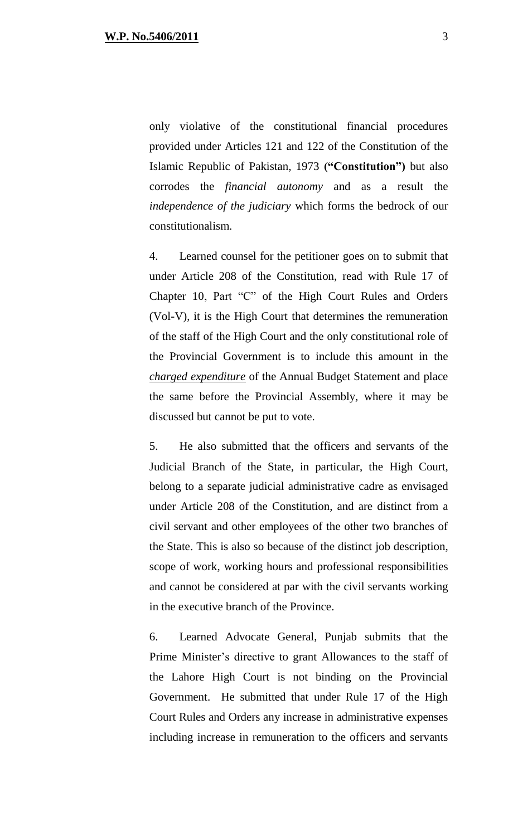only violative of the constitutional financial procedures provided under Articles 121 and 122 of the Constitution of the Islamic Republic of Pakistan, 1973 **("Constitution")** but also corrodes the *financial autonomy* and as a result the *independence of the judiciary* which forms the bedrock of our constitutionalism.

4. Learned counsel for the petitioner goes on to submit that under Article 208 of the Constitution, read with Rule 17 of Chapter 10, Part "C" of the High Court Rules and Orders (Vol-V), it is the High Court that determines the remuneration of the staff of the High Court and the only constitutional role of the Provincial Government is to include this amount in the *charged expenditure* of the Annual Budget Statement and place the same before the Provincial Assembly, where it may be discussed but cannot be put to vote.

5. He also submitted that the officers and servants of the Judicial Branch of the State, in particular, the High Court, belong to a separate judicial administrative cadre as envisaged under Article 208 of the Constitution, and are distinct from a civil servant and other employees of the other two branches of the State. This is also so because of the distinct job description, scope of work, working hours and professional responsibilities and cannot be considered at par with the civil servants working in the executive branch of the Province.

6. Learned Advocate General, Punjab submits that the Prime Minister's directive to grant Allowances to the staff of the Lahore High Court is not binding on the Provincial Government. He submitted that under Rule 17 of the High Court Rules and Orders any increase in administrative expenses including increase in remuneration to the officers and servants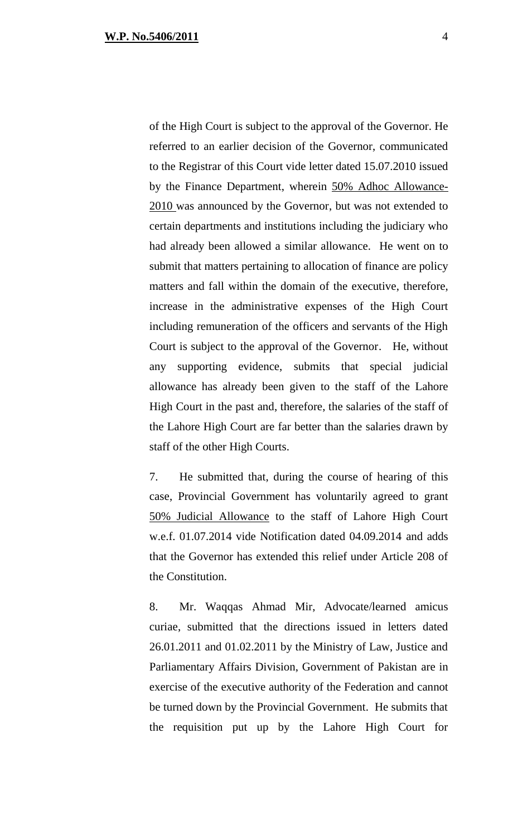of the High Court is subject to the approval of the Governor. He referred to an earlier decision of the Governor, communicated to the Registrar of this Court vide letter dated 15.07.2010 issued by the Finance Department, wherein 50% Adhoc Allowance-2010 was announced by the Governor, but was not extended to certain departments and institutions including the judiciary who had already been allowed a similar allowance. He went on to submit that matters pertaining to allocation of finance are policy matters and fall within the domain of the executive, therefore, increase in the administrative expenses of the High Court including remuneration of the officers and servants of the High Court is subject to the approval of the Governor. He, without any supporting evidence, submits that special judicial allowance has already been given to the staff of the Lahore High Court in the past and, therefore, the salaries of the staff of the Lahore High Court are far better than the salaries drawn by staff of the other High Courts.

7. He submitted that, during the course of hearing of this case, Provincial Government has voluntarily agreed to grant 50% Judicial Allowance to the staff of Lahore High Court w.e.f. 01.07.2014 vide Notification dated 04.09.2014 and adds that the Governor has extended this relief under Article 208 of the Constitution.

8. Mr. Waqqas Ahmad Mir, Advocate/learned amicus curiae, submitted that the directions issued in letters dated 26.01.2011 and 01.02.2011 by the Ministry of Law, Justice and Parliamentary Affairs Division, Government of Pakistan are in exercise of the executive authority of the Federation and cannot be turned down by the Provincial Government. He submits that the requisition put up by the Lahore High Court for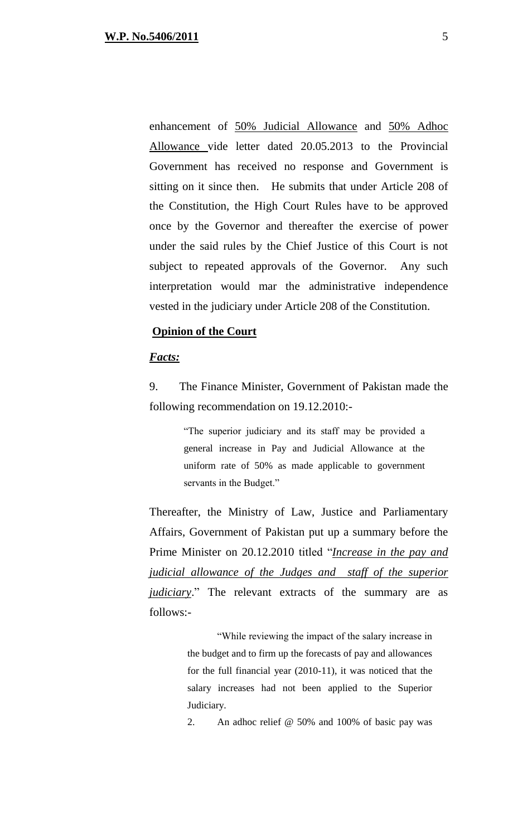enhancement of 50% Judicial Allowance and 50% Adhoc Allowance vide letter dated 20.05.2013 to the Provincial Government has received no response and Government is sitting on it since then. He submits that under Article 208 of the Constitution, the High Court Rules have to be approved once by the Governor and thereafter the exercise of power under the said rules by the Chief Justice of this Court is not subject to repeated approvals of the Governor. Any such interpretation would mar the administrative independence vested in the judiciary under Article 208 of the Constitution.

#### **Opinion of the Court**

#### *Facts:*

9. The Finance Minister, Government of Pakistan made the following recommendation on 19.12.2010:-

> "The superior judiciary and its staff may be provided a general increase in Pay and Judicial Allowance at the uniform rate of 50% as made applicable to government servants in the Budget."

Thereafter, the Ministry of Law, Justice and Parliamentary Affairs, Government of Pakistan put up a summary before the Prime Minister on 20.12.2010 titled "*Increase in the pay and judicial allowance of the Judges and staff of the superior judiciary*." The relevant extracts of the summary are as follows:-

> "While reviewing the impact of the salary increase in the budget and to firm up the forecasts of pay and allowances for the full financial year (2010-11), it was noticed that the salary increases had not been applied to the Superior Judiciary.

> 2. An adhoc relief @ 50% and 100% of basic pay was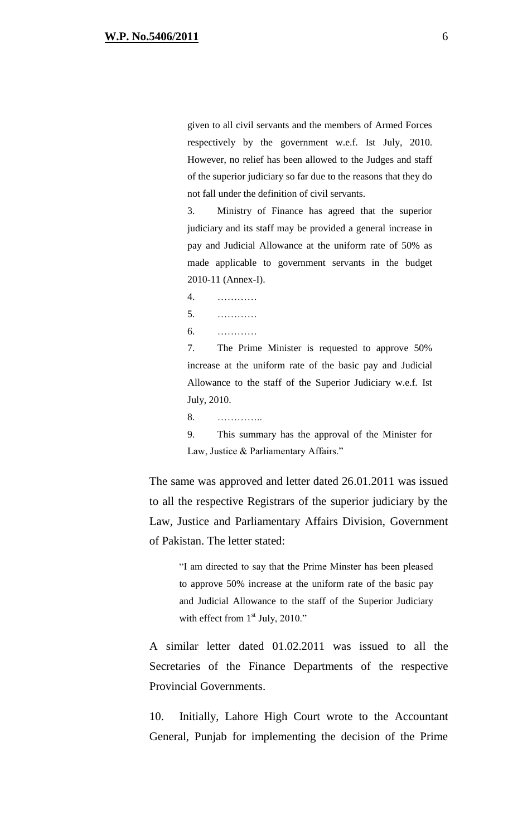given to all civil servants and the members of Armed Forces respectively by the government w.e.f. Ist July, 2010. However, no relief has been allowed to the Judges and staff of the superior judiciary so far due to the reasons that they do not fall under the definition of civil servants.

3. Ministry of Finance has agreed that the superior judiciary and its staff may be provided a general increase in pay and Judicial Allowance at the uniform rate of 50% as made applicable to government servants in the budget 2010-11 (Annex-I).

4. ………… 5. ………… 6. …………

7. The Prime Minister is requested to approve 50% increase at the uniform rate of the basic pay and Judicial Allowance to the staff of the Superior Judiciary w.e.f. Ist July, 2010.

8. …………..

9. This summary has the approval of the Minister for Law, Justice & Parliamentary Affairs."

The same was approved and letter dated 26.01.2011 was issued to all the respective Registrars of the superior judiciary by the Law, Justice and Parliamentary Affairs Division, Government of Pakistan. The letter stated:

"I am directed to say that the Prime Minster has been pleased to approve 50% increase at the uniform rate of the basic pay and Judicial Allowance to the staff of the Superior Judiciary with effect from  $1<sup>st</sup>$  July, 2010."

A similar letter dated 01.02.2011 was issued to all the Secretaries of the Finance Departments of the respective Provincial Governments.

10. Initially, Lahore High Court wrote to the Accountant General, Punjab for implementing the decision of the Prime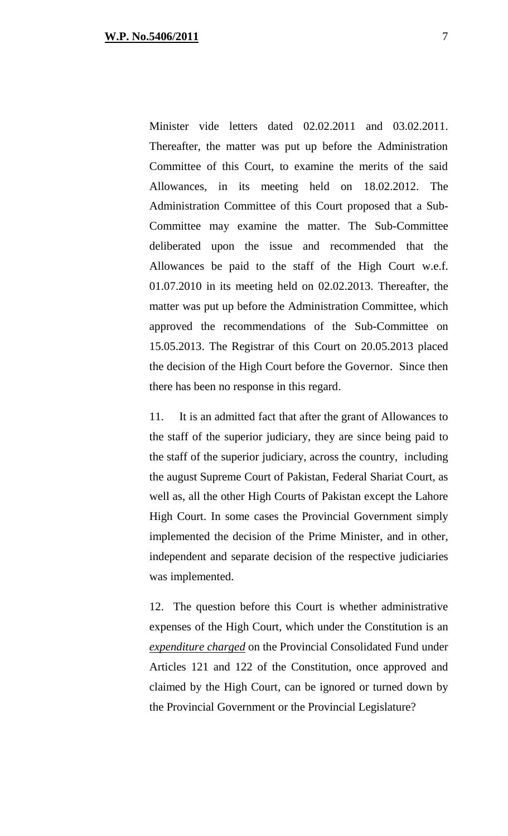Minister vide letters dated 02.02.2011 and 03.02.2011. Thereafter, the matter was put up before the Administration Committee of this Court, to examine the merits of the said Allowances, in its meeting held on 18.02.2012. The Administration Committee of this Court proposed that a Sub-Committee may examine the matter. The Sub-Committee deliberated upon the issue and recommended that the Allowances be paid to the staff of the High Court w.e.f. 01.07.2010 in its meeting held on 02.02.2013. Thereafter, the matter was put up before the Administration Committee, which approved the recommendations of the Sub-Committee on 15.05.2013. The Registrar of this Court on 20.05.2013 placed the decision of the High Court before the Governor. Since then there has been no response in this regard.

11. It is an admitted fact that after the grant of Allowances to the staff of the superior judiciary, they are since being paid to the staff of the superior judiciary, across the country, including the august Supreme Court of Pakistan, Federal Shariat Court, as well as, all the other High Courts of Pakistan except the Lahore High Court. In some cases the Provincial Government simply implemented the decision of the Prime Minister, and in other, independent and separate decision of the respective judiciaries was implemented.

12. The question before this Court is whether administrative expenses of the High Court, which under the Constitution is an *expenditure charged* on the Provincial Consolidated Fund under Articles 121 and 122 of the Constitution, once approved and claimed by the High Court, can be ignored or turned down by the Provincial Government or the Provincial Legislature?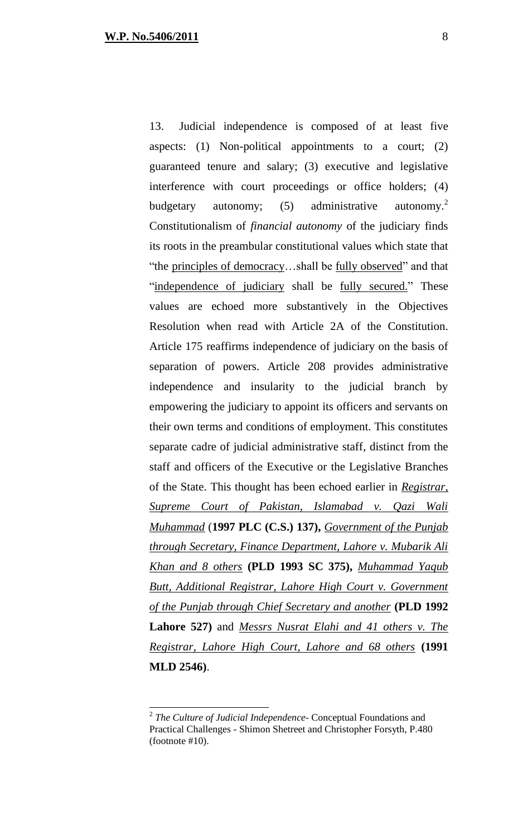13. Judicial independence is composed of at least five aspects: (1) Non-political appointments to a court; (2) guaranteed tenure and salary; (3) executive and legislative interference with court proceedings or office holders; (4) budgetary autonomy;  $(5)$  administrative autonomy.<sup>2</sup> Constitutionalism of *financial autonomy* of the judiciary finds its roots in the preambular constitutional values which state that "the principles of democracy…shall be fully observed" and that "independence of judiciary shall be fully secured." These values are echoed more substantively in the Objectives Resolution when read with Article 2A of the Constitution. Article 175 reaffirms independence of judiciary on the basis of separation of powers. Article 208 provides administrative independence and insularity to the judicial branch by empowering the judiciary to appoint its officers and servants on their own terms and conditions of employment. This constitutes separate cadre of judicial administrative staff, distinct from the staff and officers of the Executive or the Legislative Branches of the State. This thought has been echoed earlier in *Registrar, Supreme Court of Pakistan, Islamabad v. Qazi Wali Muhammad* (**1997 PLC (C.S.) 137),** *Government of the Punjab through Secretary, Finance Department, Lahore v. Mubarik Ali Khan and 8 others* **(PLD 1993 SC 375),** *Muhammad Yaqub Butt, Additional Registrar, Lahore High Court v. Government of the Punjab through Chief Secretary and another* **(PLD 1992 Lahore 527)** and *Messrs Nusrat Elahi and 41 others v. The Registrar, Lahore High Court, Lahore and 68 others* **(1991 MLD 2546)**.

<sup>2</sup> *The Culture of Judicial Independence*- Conceptual Foundations and Practical Challenges - Shimon Shetreet and Christopher Forsyth, P.480 (footnote #10).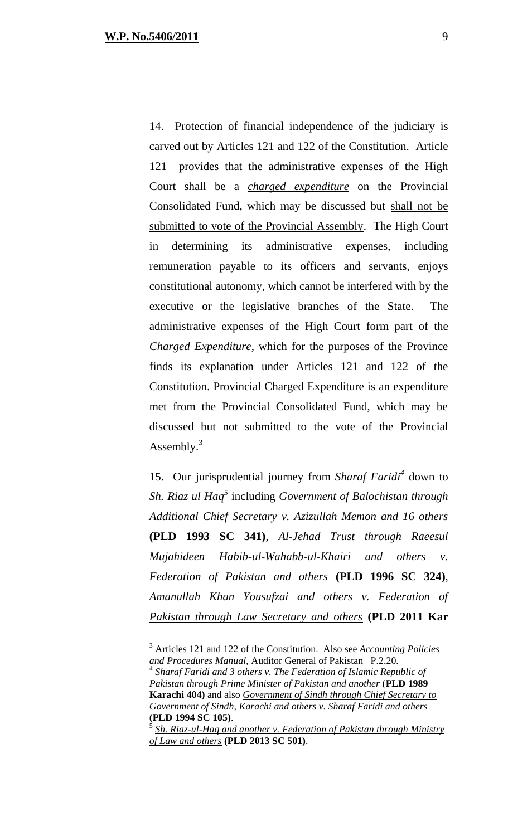14. Protection of financial independence of the judiciary is carved out by Articles 121 and 122 of the Constitution. Article 121 provides that the administrative expenses of the High Court shall be a *charged expenditure* on the Provincial Consolidated Fund, which may be discussed but shall not be submitted to vote of the Provincial Assembly. The High Court in determining its administrative expenses, including remuneration payable to its officers and servants, enjoys constitutional autonomy, which cannot be interfered with by the executive or the legislative branches of the State. The administrative expenses of the High Court form part of the *Charged Expenditure*, which for the purposes of the Province finds its explanation under Articles 121 and 122 of the Constitution. Provincial Charged Expenditure is an expenditure met from the Provincial Consolidated Fund, which may be discussed but not submitted to the vote of the Provincial Assembly.<sup>3</sup>

15. Our jurisprudential journey from *Sharaf Faridi<sup>4</sup>* down to *Sh. Riaz ul Haq<sup>5</sup>* including *Government of Balochistan through Additional Chief Secretary v. Azizullah Memon and 16 others* **(PLD 1993 SC 341)**, *Al-Jehad Trust through Raeesul Mujahideen Habib-ul-Wahabb-ul-Khairi and others v. Federation of Pakistan and others* **(PLD 1996 SC 324)**, *Amanullah Khan Yousufzai and others v. Federation of Pakistan through Law Secretary and others* **(PLD 2011 Kar** 

<sup>3</sup> Articles 121 and 122 of the Constitution. Also see *Accounting Policies and Procedures Manual*, Auditor General of Pakistan P.2.20.

<sup>&</sup>lt;sup>4</sup> Sharaf Faridi and 3 others v. The Federation of Islamic Republic of *Pakistan through Prime Minister of Pakistan and another* (**PLD 1989 Karachi 404)** and also *Government of Sindh through Chief Secretary to Government of Sindh, Karachi and others v. Sharaf Faridi and others* **(PLD 1994 SC 105)**.

<sup>5</sup> *Sh. Riaz-ul-Haq and another v. Federation of Pakistan through Ministry of Law and others* **(PLD 2013 SC 501)**.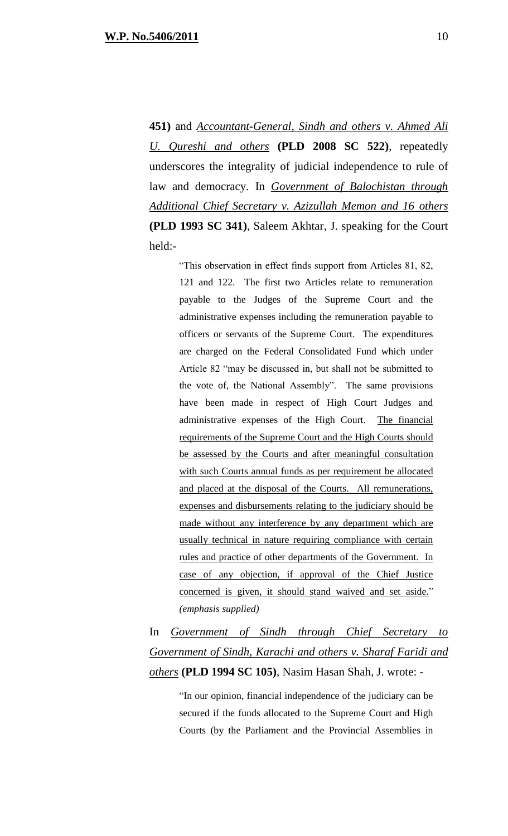**451)** and *Accountant-General, Sindh and others v. Ahmed Ali U. Qureshi and others* **(PLD 2008 SC 522)**, repeatedly underscores the integrality of judicial independence to rule of law and democracy. In *Government of Balochistan through Additional Chief Secretary v. Azizullah Memon and 16 others* **(PLD 1993 SC 341)**, Saleem Akhtar, J. speaking for the Court held:-

"This observation in effect finds support from Articles 81, 82, 121 and 122. The first two Articles relate to remuneration payable to the Judges of the Supreme Court and the administrative expenses including the remuneration payable to officers or servants of the Supreme Court. The expenditures are charged on the Federal Consolidated Fund which under Article 82 "may be discussed in, but shall not be submitted to the vote of, the National Assembly". The same provisions have been made in respect of High Court Judges and administrative expenses of the High Court. The financial requirements of the Supreme Court and the High Courts should be assessed by the Courts and after meaningful consultation with such Courts annual funds as per requirement be allocated and placed at the disposal of the Courts. All remunerations, expenses and disbursements relating to the judiciary should be made without any interference by any department which are usually technical in nature requiring compliance with certain rules and practice of other departments of the Government. In case of any objection, if approval of the Chief Justice concerned is given, it should stand waived and set aside." *(emphasis supplied)*

In *Government of Sindh through Chief Secretary to Government of Sindh, Karachi and others v. Sharaf Faridi and others* **(PLD 1994 SC 105)**, Nasim Hasan Shah, J. wrote: -

"In our opinion, financial independence of the judiciary can be secured if the funds allocated to the Supreme Court and High Courts (by the Parliament and the Provincial Assemblies in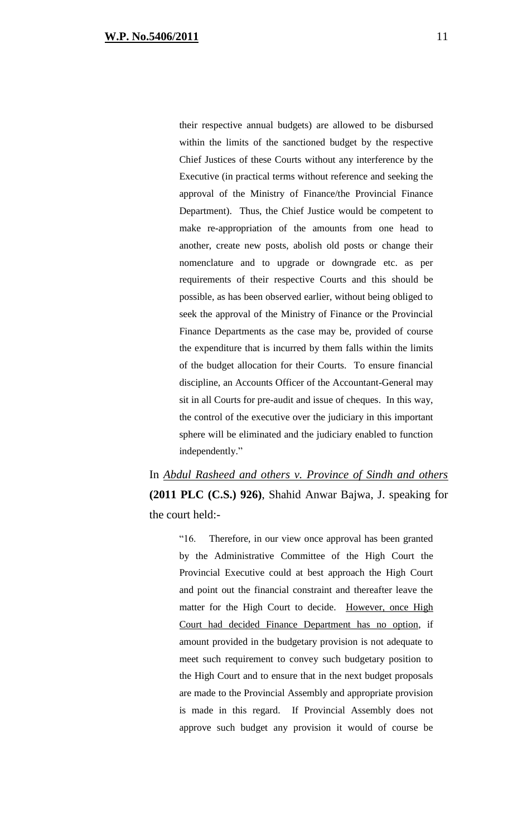their respective annual budgets) are allowed to be disbursed within the limits of the sanctioned budget by the respective Chief Justices of these Courts without any interference by the Executive (in practical terms without reference and seeking the approval of the Ministry of Finance/the Provincial Finance Department). Thus, the Chief Justice would be competent to make re-appropriation of the amounts from one head to another, create new posts, abolish old posts or change their nomenclature and to upgrade or downgrade etc. as per requirements of their respective Courts and this should be possible, as has been observed earlier, without being obliged to seek the approval of the Ministry of Finance or the Provincial Finance Departments as the case may be, provided of course the expenditure that is incurred by them falls within the limits of the budget allocation for their Courts. To ensure financial discipline, an Accounts Officer of the Accountant-General may sit in all Courts for pre-audit and issue of cheques. In this way, the control of the executive over the judiciary in this important sphere will be eliminated and the judiciary enabled to function independently."

In *Abdul Rasheed and others v. Province of Sindh and others* **(2011 PLC (C.S.) 926)**, Shahid Anwar Bajwa, J. speaking for the court held:-

> "16. Therefore, in our view once approval has been granted by the Administrative Committee of the High Court the Provincial Executive could at best approach the High Court and point out the financial constraint and thereafter leave the matter for the High Court to decide. However, once High Court had decided Finance Department has no option, if amount provided in the budgetary provision is not adequate to meet such requirement to convey such budgetary position to the High Court and to ensure that in the next budget proposals are made to the Provincial Assembly and appropriate provision is made in this regard. If Provincial Assembly does not approve such budget any provision it would of course be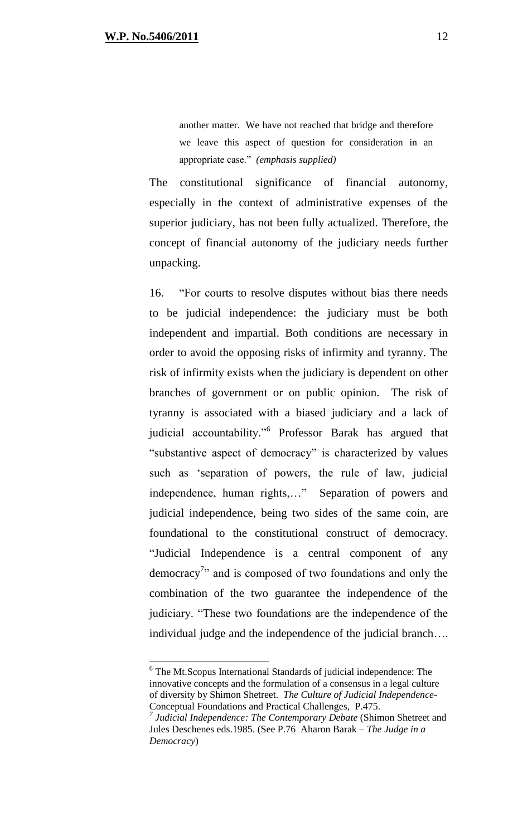another matter. We have not reached that bridge and therefore we leave this aspect of question for consideration in an appropriate case." *(emphasis supplied)*

The constitutional significance of financial autonomy, especially in the context of administrative expenses of the superior judiciary, has not been fully actualized. Therefore, the concept of financial autonomy of the judiciary needs further unpacking.

16. "For courts to resolve disputes without bias there needs to be judicial independence: the judiciary must be both independent and impartial. Both conditions are necessary in order to avoid the opposing risks of infirmity and tyranny. The risk of infirmity exists when the judiciary is dependent on other branches of government or on public opinion. The risk of tyranny is associated with a biased judiciary and a lack of judicial accountability."<sup>6</sup> Professor Barak has argued that "substantive aspect of democracy" is characterized by values such as 'separation of powers, the rule of law, judicial independence, human rights,…" Separation of powers and judicial independence, being two sides of the same coin, are foundational to the constitutional construct of democracy. "Judicial Independence is a central component of any democracy<sup>7</sup><sup>2</sup> and is composed of two foundations and only the combination of the two guarantee the independence of the judiciary. "These two foundations are the independence of the individual judge and the independence of the judicial branch….

<sup>&</sup>lt;sup>6</sup> The Mt.Scopus International Standards of judicial independence: The innovative concepts and the formulation of a consensus in a legal culture of diversity by Shimon Shetreet. *The Culture of Judicial Independence*-Conceptual Foundations and Practical Challenges, P.475.

*<sup>7</sup> Judicial Independence: The Contemporary Debate* (Shimon Shetreet and Jules Deschenes eds.1985. (See P.76 Aharon Barak – *The Judge in a Democracy*)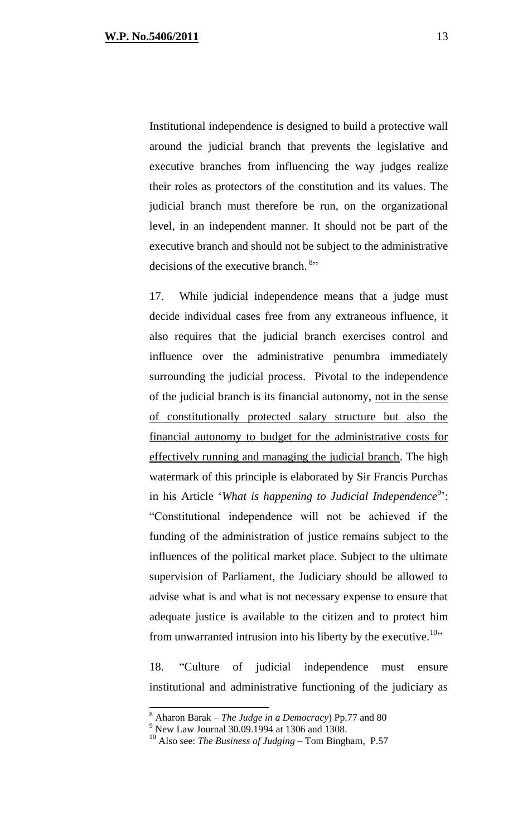Institutional independence is designed to build a protective wall around the judicial branch that prevents the legislative and executive branches from influencing the way judges realize their roles as protectors of the constitution and its values. The judicial branch must therefore be run, on the organizational level, in an independent manner. It should not be part of the executive branch and should not be subject to the administrative decisions of the executive branch.<sup>8</sup>"

17. While judicial independence means that a judge must decide individual cases free from any extraneous influence, it also requires that the judicial branch exercises control and influence over the administrative penumbra immediately surrounding the judicial process. Pivotal to the independence of the judicial branch is its financial autonomy, not in the sense of constitutionally protected salary structure but also the financial autonomy to budget for the administrative costs for effectively running and managing the judicial branch. The high watermark of this principle is elaborated by Sir Francis Purchas in his Article 'What is happening to Judicial Independence<sup>9</sup>': "Constitutional independence will not be achieved if the funding of the administration of justice remains subject to the influences of the political market place. Subject to the ultimate supervision of Parliament, the Judiciary should be allowed to advise what is and what is not necessary expense to ensure that adequate justice is available to the citizen and to protect him from unwarranted intrusion into his liberty by the executive.<sup>10</sup>"

18. "Culture of judicial independence must ensure institutional and administrative functioning of the judiciary as

 $\overline{a}$ 

<sup>8</sup> Aharon Barak – *The Judge in a Democracy*) Pp.77 and 80

<sup>&</sup>lt;sup>9</sup> New Law Journal 30.09.1994 at 1306 and 1308.

<sup>10</sup> Also see: *The Business of Judging* – Tom Bingham, P.57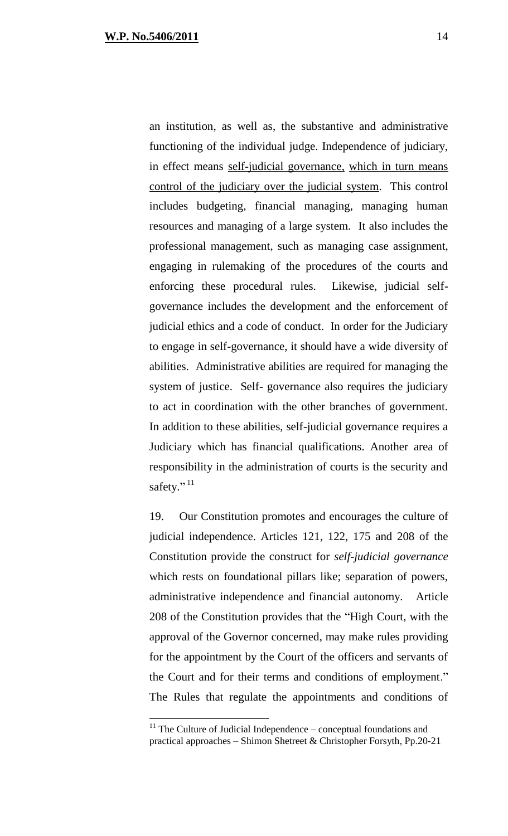an institution, as well as, the substantive and administrative functioning of the individual judge. Independence of judiciary, in effect means self-judicial governance, which in turn means control of the judiciary over the judicial system. This control includes budgeting, financial managing, managing human resources and managing of a large system. It also includes the professional management, such as managing case assignment, engaging in rulemaking of the procedures of the courts and enforcing these procedural rules. Likewise, judicial selfgovernance includes the development and the enforcement of judicial ethics and a code of conduct. In order for the Judiciary to engage in self-governance, it should have a wide diversity of abilities. Administrative abilities are required for managing the system of justice. Self- governance also requires the judiciary to act in coordination with the other branches of government. In addition to these abilities, self-judicial governance requires a Judiciary which has financial qualifications. Another area of responsibility in the administration of courts is the security and safety."<sup>11</sup>

19. Our Constitution promotes and encourages the culture of judicial independence. Articles 121, 122, 175 and 208 of the Constitution provide the construct for *self-judicial governance* which rests on foundational pillars like; separation of powers, administrative independence and financial autonomy. Article 208 of the Constitution provides that the "High Court, with the approval of the Governor concerned, may make rules providing for the appointment by the Court of the officers and servants of the Court and for their terms and conditions of employment." The Rules that regulate the appointments and conditions of

 $11$  The Culture of Judicial Independence – conceptual foundations and practical approaches – Shimon Shetreet & Christopher Forsyth, Pp.20-21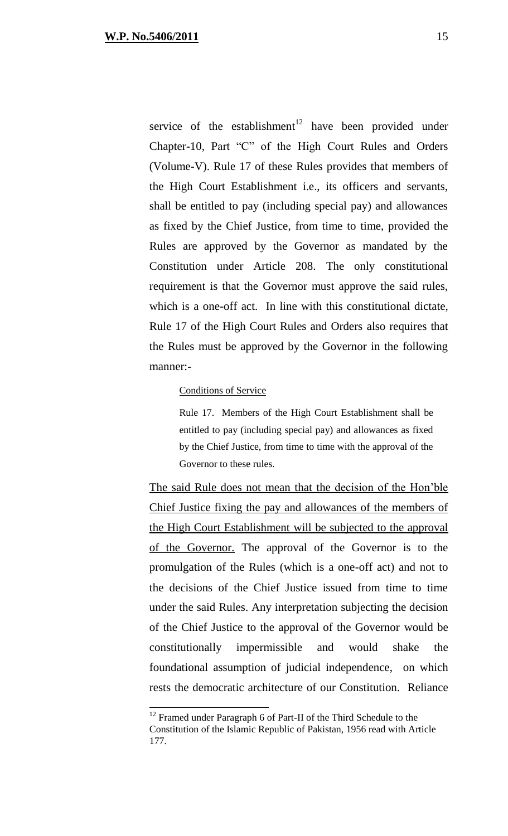service of the establishment<sup>12</sup> have been provided under Chapter-10, Part "C" of the High Court Rules and Orders (Volume-V). Rule 17 of these Rules provides that members of the High Court Establishment i.e., its officers and servants, shall be entitled to pay (including special pay) and allowances as fixed by the Chief Justice, from time to time, provided the Rules are approved by the Governor as mandated by the Constitution under Article 208. The only constitutional requirement is that the Governor must approve the said rules, which is a one-off act. In line with this constitutional dictate, Rule 17 of the High Court Rules and Orders also requires that the Rules must be approved by the Governor in the following manner:-

#### Conditions of Service

Rule 17. Members of the High Court Establishment shall be entitled to pay (including special pay) and allowances as fixed by the Chief Justice, from time to time with the approval of the Governor to these rules.

The said Rule does not mean that the decision of the Hon'ble Chief Justice fixing the pay and allowances of the members of the High Court Establishment will be subjected to the approval of the Governor. The approval of the Governor is to the promulgation of the Rules (which is a one-off act) and not to the decisions of the Chief Justice issued from time to time under the said Rules. Any interpretation subjecting the decision of the Chief Justice to the approval of the Governor would be constitutionally impermissible and would shake the foundational assumption of judicial independence, on which rests the democratic architecture of our Constitution. Reliance

 $12$  Framed under Paragraph 6 of Part-II of the Third Schedule to the Constitution of the Islamic Republic of Pakistan, 1956 read with Article 177.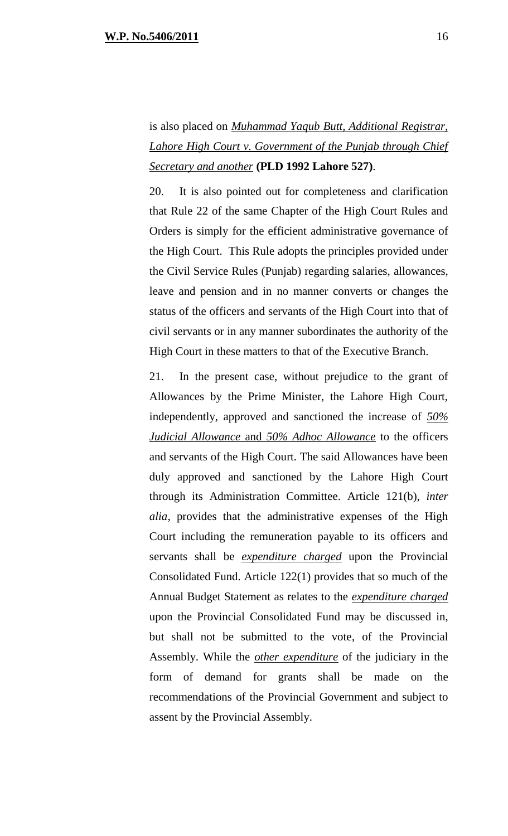is also placed on *Muhammad Yaqub Butt, Additional Registrar, Lahore High Court v. Government of the Punjab through Chief Secretary and another* **(PLD 1992 Lahore 527)**.

20. It is also pointed out for completeness and clarification that Rule 22 of the same Chapter of the High Court Rules and Orders is simply for the efficient administrative governance of the High Court. This Rule adopts the principles provided under the Civil Service Rules (Punjab) regarding salaries, allowances, leave and pension and in no manner converts or changes the status of the officers and servants of the High Court into that of civil servants or in any manner subordinates the authority of the High Court in these matters to that of the Executive Branch.

21. In the present case, without prejudice to the grant of Allowances by the Prime Minister, the Lahore High Court, independently, approved and sanctioned the increase of *50% Judicial Allowance* and *50% Adhoc Allowance* to the officers and servants of the High Court. The said Allowances have been duly approved and sanctioned by the Lahore High Court through its Administration Committee. Article 121(b), *inter alia*, provides that the administrative expenses of the High Court including the remuneration payable to its officers and servants shall be *expenditure charged* upon the Provincial Consolidated Fund. Article 122(1) provides that so much of the Annual Budget Statement as relates to the *expenditure charged* upon the Provincial Consolidated Fund may be discussed in, but shall not be submitted to the vote, of the Provincial Assembly. While the *other expenditure* of the judiciary in the form of demand for grants shall be made on the recommendations of the Provincial Government and subject to assent by the Provincial Assembly.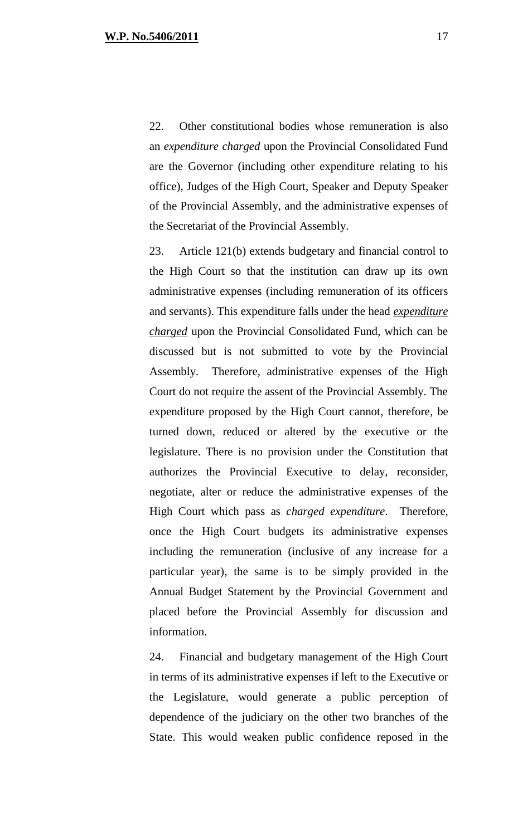22. Other constitutional bodies whose remuneration is also an *expenditure charged* upon the Provincial Consolidated Fund are the Governor (including other expenditure relating to his office), Judges of the High Court, Speaker and Deputy Speaker of the Provincial Assembly, and the administrative expenses of the Secretariat of the Provincial Assembly.

23. Article 121(b) extends budgetary and financial control to the High Court so that the institution can draw up its own administrative expenses (including remuneration of its officers and servants). This expenditure falls under the head *expenditure charged* upon the Provincial Consolidated Fund, which can be discussed but is not submitted to vote by the Provincial Assembly. Therefore, administrative expenses of the High Court do not require the assent of the Provincial Assembly. The expenditure proposed by the High Court cannot, therefore, be turned down, reduced or altered by the executive or the legislature. There is no provision under the Constitution that authorizes the Provincial Executive to delay, reconsider, negotiate, alter or reduce the administrative expenses of the High Court which pass as *charged expenditure*. Therefore, once the High Court budgets its administrative expenses including the remuneration (inclusive of any increase for a particular year), the same is to be simply provided in the Annual Budget Statement by the Provincial Government and placed before the Provincial Assembly for discussion and information.

24. Financial and budgetary management of the High Court in terms of its administrative expenses if left to the Executive or the Legislature, would generate a public perception of dependence of the judiciary on the other two branches of the State. This would weaken public confidence reposed in the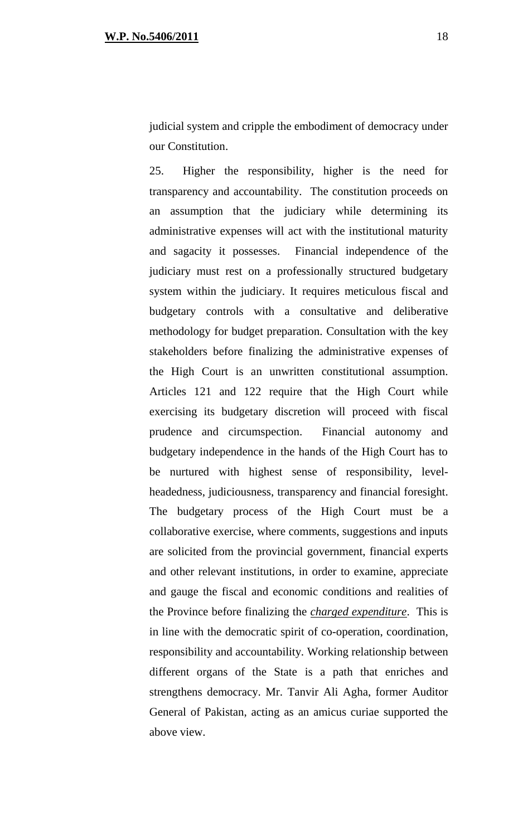judicial system and cripple the embodiment of democracy under our Constitution.

25. Higher the responsibility, higher is the need for transparency and accountability. The constitution proceeds on an assumption that the judiciary while determining its administrative expenses will act with the institutional maturity and sagacity it possesses. Financial independence of the judiciary must rest on a professionally structured budgetary system within the judiciary. It requires meticulous fiscal and budgetary controls with a consultative and deliberative methodology for budget preparation. Consultation with the key stakeholders before finalizing the administrative expenses of the High Court is an unwritten constitutional assumption. Articles 121 and 122 require that the High Court while exercising its budgetary discretion will proceed with fiscal prudence and circumspection. Financial autonomy and budgetary independence in the hands of the High Court has to be nurtured with highest sense of responsibility, levelheadedness, judiciousness, transparency and financial foresight. The budgetary process of the High Court must be a collaborative exercise, where comments, suggestions and inputs are solicited from the provincial government, financial experts and other relevant institutions, in order to examine, appreciate and gauge the fiscal and economic conditions and realities of the Province before finalizing the *charged expenditure*. This is in line with the democratic spirit of co-operation, coordination, responsibility and accountability. Working relationship between different organs of the State is a path that enriches and strengthens democracy. Mr. Tanvir Ali Agha, former Auditor General of Pakistan, acting as an amicus curiae supported the above view.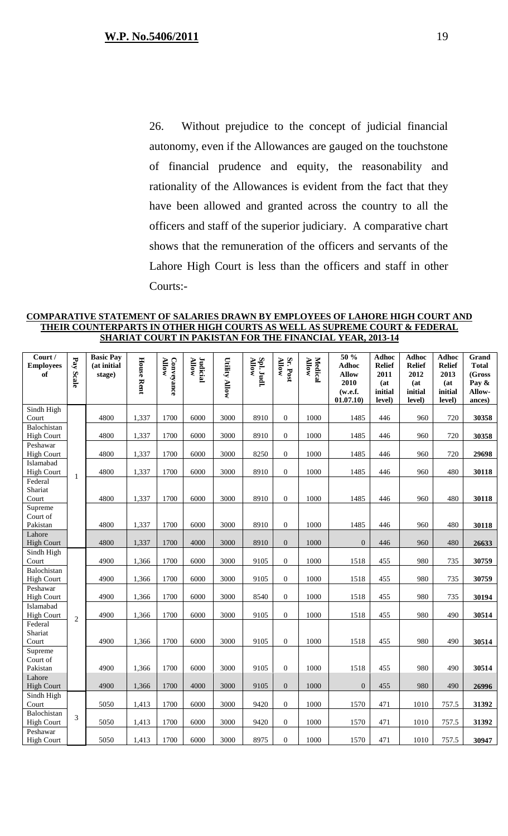26. Without prejudice to the concept of judicial financial autonomy, even if the Allowances are gauged on the touchstone of financial prudence and equity, the reasonability and rationality of the Allowances is evident from the fact that they have been allowed and granted across the country to all the officers and staff of the superior judiciary. A comparative chart shows that the remuneration of the officers and servants of the Lahore High Court is less than the officers and staff in other Courts:-

**COMPARATIVE STATEMENT OF SALARIES DRAWN BY EMPLOYEES OF LAHORE HIGH COURT AND THEIR COUNTERPARTS IN OTHER HIGH COURTS AS WELL AS SUPREME COURT & FEDERAL SHARIAT COURT IN PAKISTAN FOR THE FINANCIAL YEAR, 2013-14**

| Court /<br><b>Employees</b><br>of | Pay Scale      | <b>Basic Pay</b><br>(at initial<br>stage) | <b>House Rent</b> | <b>Allow</b><br>Conveyance | <b>Allow</b><br><b>Judicial</b> | <b>Utility Allow</b> | Spl. Judl.<br><b>Allow</b> | Sr. Post<br>Allow | Medical<br>Allow | 50 %<br><b>Adhoc</b><br><b>Allow</b><br>2010<br>(w.e.f.<br>01.07.10) | <b>Adhoc</b><br><b>Relief</b><br>2011<br>(at)<br>initial<br>level) | <b>Adhoc</b><br><b>Relief</b><br>2012<br>(at)<br>initial<br>level) | <b>Adhoc</b><br><b>Relief</b><br>2013<br>(at<br>initial<br>level) | Grand<br><b>Total</b><br>(Gross<br>Pay &<br>Allow-<br>ances) |
|-----------------------------------|----------------|-------------------------------------------|-------------------|----------------------------|---------------------------------|----------------------|----------------------------|-------------------|------------------|----------------------------------------------------------------------|--------------------------------------------------------------------|--------------------------------------------------------------------|-------------------------------------------------------------------|--------------------------------------------------------------|
| Sindh High<br>Court               |                | 4800                                      | 1,337             | 1700                       | 6000                            | 3000                 | 8910                       | $\overline{0}$    | 1000             | 1485                                                                 | 446                                                                | 960                                                                | 720                                                               | 30358                                                        |
| Balochistan                       |                |                                           |                   |                            |                                 |                      |                            |                   |                  |                                                                      |                                                                    |                                                                    |                                                                   |                                                              |
| <b>High Court</b>                 |                | 4800                                      | 1,337             | 1700                       | 6000                            | 3000                 | 8910                       | $\overline{0}$    | 1000             | 1485                                                                 | 446                                                                | 960                                                                | 720                                                               | 30358                                                        |
| Peshawar<br><b>High Court</b>     |                | 4800                                      | 1,337             | 1700                       | 6000                            | 3000                 | 8250                       | $\boldsymbol{0}$  | 1000             | 1485                                                                 | 446                                                                | 960                                                                | 720                                                               | 29698                                                        |
| Islamabad                         |                |                                           |                   |                            |                                 |                      |                            |                   |                  |                                                                      |                                                                    |                                                                    |                                                                   |                                                              |
| <b>High Court</b><br>Federal      | $\mathbf{1}$   | 4800                                      | 1,337             | 1700                       | 6000                            | 3000                 | 8910                       | $\overline{0}$    | 1000             | 1485                                                                 | 446                                                                | 960                                                                | 480                                                               | 30118                                                        |
| Shariat                           |                |                                           |                   |                            |                                 |                      |                            |                   |                  |                                                                      |                                                                    |                                                                    |                                                                   |                                                              |
| Court                             |                | 4800                                      | 1,337             | 1700                       | 6000                            | 3000                 | 8910                       | $\mathbf{0}$      | 1000             | 1485                                                                 | 446                                                                | 960                                                                | 480                                                               | 30118                                                        |
| Supreme<br>Court of               |                |                                           |                   |                            |                                 |                      |                            |                   |                  |                                                                      |                                                                    |                                                                    |                                                                   |                                                              |
| Pakistan                          |                | 4800                                      | 1,337             | 1700                       | 6000                            | 3000                 | 8910                       | $\mathbf{0}$      | 1000             | 1485                                                                 | 446                                                                | 960                                                                | 480                                                               | 30118                                                        |
| Lahore<br><b>High Court</b>       |                | 4800                                      | 1,337             | 1700                       | 4000                            | 3000                 | 8910                       | $\overline{0}$    | 1000             | $\theta$                                                             | 446                                                                | 960                                                                | 480                                                               | 26633                                                        |
| Sindh High<br>Court               |                | 4900                                      | 1,366             | 1700                       | 6000                            | 3000                 | 9105                       | $\boldsymbol{0}$  | 1000             | 1518                                                                 | 455                                                                | 980                                                                | 735                                                               | 30759                                                        |
| Balochistan                       |                |                                           |                   |                            |                                 |                      |                            |                   |                  |                                                                      |                                                                    |                                                                    |                                                                   |                                                              |
| <b>High Court</b>                 |                | 4900                                      | 1,366             | 1700                       | 6000                            | 3000                 | 9105                       | $\overline{0}$    | 1000             | 1518                                                                 | 455                                                                | 980                                                                | 735                                                               | 30759                                                        |
| Peshawar<br><b>High Court</b>     |                | 4900                                      | 1,366             | 1700                       | 6000                            | 3000                 | 8540                       | $\overline{0}$    | 1000             | 1518                                                                 | 455                                                                | 980                                                                | 735                                                               | 30194                                                        |
| Islamabad                         |                | 4900                                      |                   | 1700                       | 6000                            | 3000                 | 9105                       | $\overline{0}$    | 1000             |                                                                      | 455                                                                | 980                                                                | 490                                                               |                                                              |
| <b>High Court</b><br>Federal      | $\overline{2}$ |                                           | 1,366             |                            |                                 |                      |                            |                   |                  | 1518                                                                 |                                                                    |                                                                    |                                                                   | 30514                                                        |
| Shariat                           |                |                                           |                   |                            |                                 |                      |                            |                   |                  |                                                                      |                                                                    |                                                                    |                                                                   |                                                              |
| Court                             |                | 4900                                      | 1,366             | 1700                       | 6000                            | 3000                 | 9105                       | $\theta$          | 1000             | 1518                                                                 | 455                                                                | 980                                                                | 490                                                               | 30514                                                        |
| Supreme<br>Court of               |                |                                           |                   |                            |                                 |                      |                            |                   |                  |                                                                      |                                                                    |                                                                    |                                                                   |                                                              |
| Pakistan                          |                | 4900                                      | 1,366             | 1700                       | 6000                            | 3000                 | 9105                       | $\overline{0}$    | 1000             | 1518                                                                 | 455                                                                | 980                                                                | 490                                                               | 30514                                                        |
| Lahore<br><b>High Court</b>       |                | 4900                                      | 1,366             | 1700                       | 4000                            | 3000                 | 9105                       | $\boldsymbol{0}$  | 1000             | $\mathbf{0}$                                                         | 455                                                                | 980                                                                | 490                                                               | 26996                                                        |
| Sindh High                        |                |                                           |                   |                            |                                 |                      |                            |                   |                  |                                                                      |                                                                    |                                                                    |                                                                   |                                                              |
| Court                             |                | 5050                                      | 1,413             | 1700                       | 6000                            | 3000                 | 9420                       | $\overline{0}$    | 1000             | 1570                                                                 | 471                                                                | 1010                                                               | 757.5                                                             | 31392                                                        |
| Balochistan<br><b>High Court</b>  | $\mathfrak{Z}$ | 5050                                      | 1,413             | 1700                       | 6000                            | 3000                 | 9420                       | $\overline{0}$    | 1000             | 1570                                                                 | 471                                                                | 1010                                                               | 757.5                                                             | 31392                                                        |
| Peshawar<br><b>High Court</b>     |                | 5050                                      | 1,413             | 1700                       | 6000                            | 3000                 | 8975                       | $\overline{0}$    | 1000             | 1570                                                                 | 471                                                                | 1010                                                               | 757.5                                                             | 30947                                                        |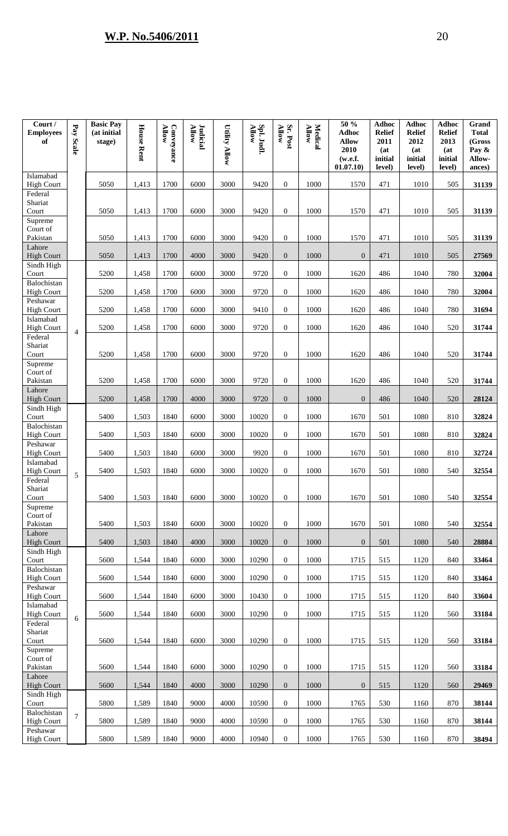| Court /<br><b>Employees</b><br>of | Pay Scale      | <b>Basic Pay</b><br>(at initial<br>stage) | <b>House Rent</b> | Conveyance<br>Allow | Judicial<br>Allow | <b>Utility Allow</b> | Spl. Judl.<br>Allow | Sr. Post<br><b>Allow</b> | Allow<br><b>Medical</b> | 50 %<br><b>Adhoc</b><br><b>Allow</b><br>2010<br>(w.e.f.<br>01.07.10) | <b>Adhoc</b><br><b>Relief</b><br>2011<br>(at)<br>initial<br>level) | <b>Adhoc</b><br><b>Relief</b><br>2012<br>(at<br>initial<br>level) | <b>Adhoc</b><br><b>Relief</b><br>2013<br>(at)<br>initial<br>level) | Grand<br><b>Total</b><br>(Gross<br>Pay &<br>Allow-<br>ances) |
|-----------------------------------|----------------|-------------------------------------------|-------------------|---------------------|-------------------|----------------------|---------------------|--------------------------|-------------------------|----------------------------------------------------------------------|--------------------------------------------------------------------|-------------------------------------------------------------------|--------------------------------------------------------------------|--------------------------------------------------------------|
| Islamabad<br><b>High Court</b>    |                | 5050                                      | 1,413             | 1700                | 6000              | 3000                 | 9420                | $\mathbf{0}$             | 1000                    | 1570                                                                 | 471                                                                | 1010                                                              | 505                                                                | 31139                                                        |
| Federal<br>Shariat<br>Court       |                | 5050                                      | 1,413             | 1700                | 6000              | 3000                 | 9420                | $\boldsymbol{0}$         | 1000                    | 1570                                                                 | 471                                                                | 1010                                                              | 505                                                                | 31139                                                        |
| Supreme<br>Court of<br>Pakistan   |                | 5050                                      | 1,413             | 1700                | 6000              | 3000                 | 9420                | $\mathbf{0}$             | 1000                    | 1570                                                                 | 471                                                                | 1010                                                              | 505                                                                | 31139                                                        |
| Lahore<br><b>High Court</b>       |                | 5050                                      | 1,413             | 1700                | 4000              | 3000                 | 9420                | $\overline{0}$           | 1000                    | $\overline{0}$                                                       | 471                                                                | 1010                                                              | 505                                                                | 27569                                                        |
| Sindh High<br>Court               |                | 5200                                      | 1,458             | 1700                | 6000              | 3000                 | 9720                | $\mathbf{0}$             | 1000                    | 1620                                                                 | 486                                                                | 1040                                                              | 780                                                                | 32004                                                        |
| Balochistan<br><b>High Court</b>  |                | 5200                                      | 1,458             | 1700                | 6000              | 3000                 | 9720                | $\mathbf{0}$             | 1000                    | 1620                                                                 | 486                                                                | 1040                                                              | 780                                                                | 32004                                                        |
| Peshawar<br><b>High Court</b>     |                | 5200                                      | 1,458             | 1700                | 6000              | 3000                 | 9410                | $\overline{0}$           | 1000                    | 1620                                                                 | 486                                                                | 1040                                                              | 780                                                                | 31694                                                        |
| Islamabad<br><b>High Court</b>    |                | 5200                                      | 1,458             | 1700                | 6000              | 3000                 | 9720                | $\mathbf{0}$             | 1000                    | 1620                                                                 | 486                                                                | 1040                                                              | 520                                                                | 31744                                                        |
| Federal<br>Shariat<br>Court       | $\overline{4}$ | 5200                                      | 1,458             | 1700                | 6000              | 3000                 | 9720                | $\mathbf{0}$             | 1000                    | 1620                                                                 | 486                                                                | 1040                                                              | 520                                                                | 31744                                                        |
| Supreme<br>Court of<br>Pakistan   |                | 5200                                      | 1,458             | 1700                | 6000              | 3000                 | 9720                | $\overline{0}$           | 1000                    | 1620                                                                 | 486                                                                | 1040                                                              | 520                                                                | 31744                                                        |
| Lahore<br><b>High Court</b>       |                | 5200                                      | 1,458             | 1700                | 4000              | 3000                 | 9720                | $\overline{0}$           | 1000                    | $\overline{0}$                                                       | 486                                                                | 1040                                                              | 520                                                                | 28124                                                        |
| Sindh High<br>Court               |                | 5400                                      | 1,503             | 1840                | 6000              | 3000                 | 10020               | $\mathbf{0}$             | 1000                    | 1670                                                                 | 501                                                                | 1080                                                              | 810                                                                | 32824                                                        |
| Balochistan<br><b>High Court</b>  |                | 5400                                      | 1,503             | 1840                | 6000              | 3000                 | 10020               | $\boldsymbol{0}$         | 1000                    | 1670                                                                 | 501                                                                | 1080                                                              | 810                                                                | 32824                                                        |
| Peshawar<br><b>High Court</b>     |                | 5400                                      | 1,503             | 1840                | 6000              | 3000                 | 9920                | $\boldsymbol{0}$         | 1000                    | 1670                                                                 | 501                                                                | 1080                                                              | 810                                                                | 32724                                                        |
| Islamabad<br><b>High Court</b>    | 5              | 5400                                      | 1,503             | 1840                | 6000              | 3000                 | 10020               | $\mathbf{0}$             | 1000                    | 1670                                                                 | 501                                                                | 1080                                                              | 540                                                                | 32554                                                        |
| Federal<br>Shariat<br>Court       |                | 5400                                      | 1,503             | 1840                | 6000              | 3000                 | 10020               | $\boldsymbol{0}$         | 1000                    | 1670                                                                 | 501                                                                | 1080                                                              | 540                                                                | 32554                                                        |
| Supreme<br>Court of<br>Pakistan   |                | 5400                                      | 1,503             | 1840                | 6000              | 3000                 | 10020               | $\boldsymbol{0}$         | 1000                    | 1670                                                                 | 501                                                                | 1080                                                              | 540                                                                | 32554                                                        |
| Lahore<br><b>High Court</b>       |                | 5400                                      | 1,503             | 1840                | 4000              | 3000                 | 10020               | $\mathbf{0}$             | 1000                    | $\overline{0}$                                                       | 501                                                                | 1080                                                              | 540                                                                | 28884                                                        |
| Sindh High<br>Court               |                | 5600                                      | 1,544             | 1840                | 6000              | 3000                 | 10290               | $\overline{0}$           | 1000                    | 1715                                                                 | 515                                                                | 1120                                                              | 840                                                                | 33464                                                        |
| Balochistan<br><b>High Court</b>  |                | 5600                                      | 1,544             | 1840                | 6000              | 3000                 | 10290               | $\boldsymbol{0}$         | 1000                    | 1715                                                                 | 515                                                                | 1120                                                              | 840                                                                | 33464                                                        |
| Peshawar<br><b>High Court</b>     |                | 5600                                      | 1,544             | 1840                | 6000              | 3000                 | 10430               | $\mathbf{0}$             | 1000                    | 1715                                                                 | 515                                                                | 1120                                                              | 840                                                                | 33604                                                        |
| Islamabad<br><b>High Court</b>    | 6              | 5600                                      | 1,544             | 1840                | 6000              | 3000                 | 10290               | $\mathbf{0}$             | 1000                    | 1715                                                                 | 515                                                                | 1120                                                              | 560                                                                | 33184                                                        |
| Federal<br>Shariat<br>Court       |                | 5600                                      | 1,544             | 1840                | 6000              | 3000                 | 10290               | $\boldsymbol{0}$         | 1000                    | 1715                                                                 | 515                                                                | 1120                                                              | 560                                                                | 33184                                                        |
| Supreme<br>Court of<br>Pakistan   |                | 5600                                      | 1,544             | 1840                | 6000              | 3000                 | 10290               | $\mathbf{0}$             | 1000                    | 1715                                                                 | 515                                                                | 1120                                                              | 560                                                                | 33184                                                        |
| Lahore<br><b>High Court</b>       |                | 5600                                      | 1,544             | 1840                | 4000              | 3000                 | 10290               | $\overline{0}$           | 1000                    | $\overline{0}$                                                       | 515                                                                | 1120                                                              | 560                                                                | 29469                                                        |
| Sindh High<br>Court               |                | 5800                                      | 1,589             | 1840                | 9000              | 4000                 | 10590               | $\mathbf{0}$             | 1000                    | 1765                                                                 | 530                                                                | 1160                                                              | 870                                                                | 38144                                                        |
| Balochistan<br><b>High Court</b>  | $\tau$         | 5800                                      | 1,589             | 1840                | 9000              | 4000                 | 10590               | $\mathbf{0}$             | 1000                    | 1765                                                                 | 530                                                                | 1160                                                              | 870                                                                | 38144                                                        |
| Peshawar<br><b>High Court</b>     |                | 5800                                      | 1,589             | 1840                | 9000              | 4000                 | 10940               | $\overline{0}$           | 1000                    | 1765                                                                 | 530                                                                | 1160                                                              | 870                                                                | 38494                                                        |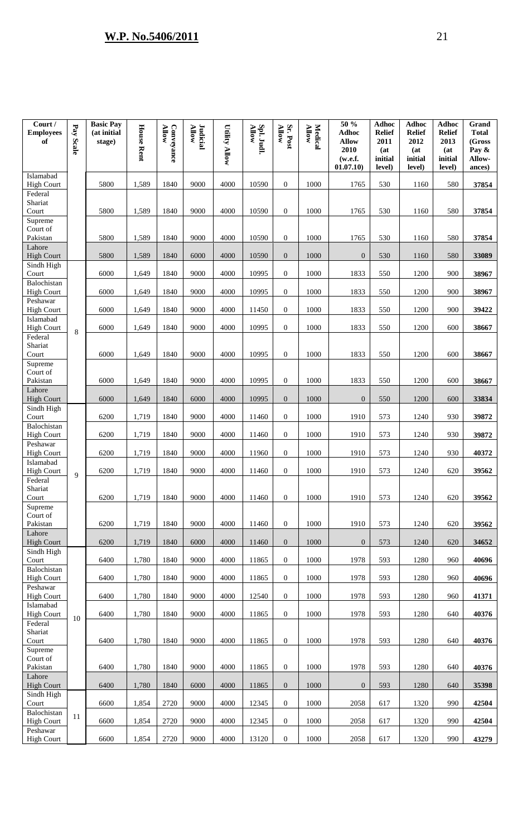| Court /<br><b>Employees</b><br>of         | Pay Scale | <b>Basic Pay</b><br>(at initial<br>stage) | <b>House Rent</b> | Conveyance<br><b>Allow</b> | Judicial<br>Allow | <b>Utility Allow</b> | Spl. Judl.<br>Allow | Sr. Post<br><b>Allow</b> | <b>Medical</b><br>Allow | 50 %<br><b>Adhoc</b><br><b>Allow</b><br>2010<br>(w.e.f.<br>01.07.10) | <b>Adhoc</b><br><b>Relief</b><br>2011<br>(at)<br>initial<br>level) | <b>Adhoc</b><br><b>Relief</b><br>2012<br>(at<br>initial<br>level) | <b>Adhoc</b><br><b>Relief</b><br>2013<br>(at)<br>initial<br>level) | Grand<br><b>Total</b><br>(Gross<br>Pay &<br>Allow-<br>ances) |
|-------------------------------------------|-----------|-------------------------------------------|-------------------|----------------------------|-------------------|----------------------|---------------------|--------------------------|-------------------------|----------------------------------------------------------------------|--------------------------------------------------------------------|-------------------------------------------------------------------|--------------------------------------------------------------------|--------------------------------------------------------------|
| Islamabad<br><b>High Court</b>            |           | 5800                                      | 1,589             | 1840                       | 9000              | 4000                 | 10590               | $\mathbf{0}$             | 1000                    | 1765                                                                 | 530                                                                | 1160                                                              | 580                                                                | 37854                                                        |
| Federal<br>Shariat<br>Court               |           | 5800                                      | 1,589             | 1840                       | 9000              | 4000                 | 10590               | $\boldsymbol{0}$         | 1000                    | 1765                                                                 | 530                                                                | 1160                                                              | 580                                                                | 37854                                                        |
| Supreme<br>Court of<br>Pakistan<br>Lahore |           | 5800                                      | 1,589             | 1840                       | 9000              | 4000                 | 10590               | $\mathbf{0}$             | 1000                    | 1765                                                                 | 530                                                                | 1160                                                              | 580                                                                | 37854                                                        |
| <b>High Court</b><br>Sindh High           |           | 5800                                      | 1,589             | 1840                       | 6000              | 4000                 | 10590               | $\overline{0}$           | 1000                    | $\overline{0}$                                                       | 530                                                                | 1160                                                              | 580                                                                | 33089                                                        |
| Court                                     |           | 6000                                      | 1,649             | 1840                       | 9000              | 4000                 | 10995               | $\boldsymbol{0}$         | 1000                    | 1833                                                                 | 550                                                                | 1200                                                              | 900                                                                | 38967                                                        |
| Balochistan<br><b>High Court</b>          |           | 6000                                      | 1,649             | 1840                       | 9000              | 4000                 | 10995               | $\mathbf{0}$             | 1000                    | 1833                                                                 | 550                                                                | 1200                                                              | 900                                                                | 38967                                                        |
| Peshawar<br><b>High Court</b>             |           | 6000                                      | 1,649             | 1840                       | 9000              | 4000                 | 11450               | $\overline{0}$           | 1000                    | 1833                                                                 | 550                                                                | 1200                                                              | 900                                                                | 39422                                                        |
| Islamabad<br><b>High Court</b>            | 8         | 6000                                      | 1,649             | 1840                       | 9000              | 4000                 | 10995               | $\mathbf{0}$             | 1000                    | 1833                                                                 | 550                                                                | 1200                                                              | 600                                                                | 38667                                                        |
| Federal<br>Shariat<br>Court               |           | 6000                                      | 1,649             | 1840                       | 9000              | 4000                 | 10995               | $\mathbf{0}$             | 1000                    | 1833                                                                 | 550                                                                | 1200                                                              | 600                                                                | 38667                                                        |
| Supreme<br>Court of<br>Pakistan<br>Lahore |           | 6000                                      | 1,649             | 1840                       | 9000              | 4000                 | 10995               | $\overline{0}$           | 1000                    | 1833                                                                 | 550                                                                | 1200                                                              | 600                                                                | 38667                                                        |
| <b>High Court</b><br>Sindh High           |           | 6000                                      | 1,649             | 1840                       | 6000              | 4000                 | 10995               | $\overline{0}$           | 1000                    | $\overline{0}$                                                       | 550                                                                | 1200                                                              | 600                                                                | 33834                                                        |
| Court                                     |           | 6200                                      | 1,719             | 1840                       | 9000              | 4000                 | 11460               | $\mathbf{0}$             | 1000                    | 1910                                                                 | 573                                                                | 1240                                                              | 930                                                                | 39872                                                        |
| Balochistan<br><b>High Court</b>          |           | 6200                                      | 1,719             | 1840                       | 9000              | 4000                 | 11460               | $\boldsymbol{0}$         | 1000                    | 1910                                                                 | 573                                                                | 1240                                                              | 930                                                                | 39872                                                        |
| Peshawar<br><b>High Court</b>             |           | 6200                                      | 1,719             | 1840                       | 9000              | 4000                 | 11960               | $\overline{0}$           | 1000                    | 1910                                                                 | 573                                                                | 1240                                                              | 930                                                                | 40372                                                        |
| Islamabad<br><b>High Court</b>            | 9         | 6200                                      | 1,719             | 1840                       | 9000              | 4000                 | 11460               | $\mathbf{0}$             | 1000                    | 1910                                                                 | 573                                                                | 1240                                                              | 620                                                                | 39562                                                        |
| Federal<br>Shariat<br>Court               |           | 6200                                      | 1,719             | 1840                       | 9000              | 4000                 | 11460               | $\boldsymbol{0}$         | 1000                    | 1910                                                                 | 573                                                                | 1240                                                              | 620                                                                | 39562                                                        |
| Supreme<br>Court of<br>Pakistan           |           | 6200                                      | 1,719             | 1840                       | 9000              | 4000                 | 11460               | $\mathbf{0}$             | 1000                    | 1910                                                                 | 573                                                                | 1240                                                              | 620                                                                | 39562                                                        |
| Lahore<br><b>High Court</b>               |           | 6200                                      | 1,719             | 1840                       | 6000              | 4000                 | 11460               | $\overline{0}$           | 1000                    | $\overline{0}$                                                       | 573                                                                | 1240                                                              | 620                                                                | 34652                                                        |
| Sindh High<br>Court                       |           | 6400                                      | 1,780             | 1840                       | 9000              | 4000                 | 11865               | $\overline{0}$           | 1000                    | 1978                                                                 | 593                                                                | 1280                                                              | 960                                                                | 40696                                                        |
| Balochistan<br><b>High Court</b>          |           | 6400                                      | 1,780             | 1840                       | 9000              | 4000                 | 11865               | $\boldsymbol{0}$         | 1000                    | 1978                                                                 | 593                                                                | 1280                                                              | 960                                                                | 40696                                                        |
| Peshawar<br><b>High Court</b>             |           | 6400                                      | 1,780             | 1840                       | 9000              | 4000                 | 12540               | $\mathbf{0}$             | 1000                    | 1978                                                                 | 593                                                                | 1280                                                              | 960                                                                | 41371                                                        |
| Islamabad<br><b>High Court</b>            | 10        | 6400                                      | 1,780             | 1840                       | 9000              | 4000                 | 11865               | $\mathbf{0}$             | 1000                    | 1978                                                                 | 593                                                                | 1280                                                              | 640                                                                | 40376                                                        |
| Federal<br>Shariat<br>Court               |           | 6400                                      | 1,780             | 1840                       | 9000              | 4000                 | 11865               | $\boldsymbol{0}$         | 1000                    | 1978                                                                 | 593                                                                | 1280                                                              | 640                                                                | 40376                                                        |
| Supreme<br>Court of<br>Pakistan           |           | 6400                                      | 1,780             | 1840                       | 9000              | 4000                 | 11865               | $\mathbf{0}$             | 1000                    | 1978                                                                 | 593                                                                | 1280                                                              | 640                                                                | 40376                                                        |
| Lahore<br><b>High Court</b>               |           | 6400                                      | 1,780             | 1840                       | 6000              | 4000                 | 11865               | $\overline{0}$           | 1000                    | $\overline{0}$                                                       | 593                                                                | 1280                                                              | 640                                                                | 35398                                                        |
| Sindh High<br>Court                       |           | 6600                                      | 1,854             | 2720                       | 9000              | 4000                 | 12345               | $\mathbf{0}$             | 1000                    | 2058                                                                 | 617                                                                | 1320                                                              | 990                                                                | 42504                                                        |
| Balochistan<br><b>High Court</b>          | 11        | 6600                                      | 1,854             | 2720                       | 9000              | 4000                 | 12345               | $\boldsymbol{0}$         | 1000                    | 2058                                                                 | 617                                                                | 1320                                                              | 990                                                                | 42504                                                        |
| Peshawar<br><b>High Court</b>             |           | 6600                                      | 1,854             | 2720                       | 9000              | 4000                 | 13120               | $\overline{0}$           | 1000                    | 2058                                                                 | 617                                                                | 1320                                                              | 990                                                                | 43279                                                        |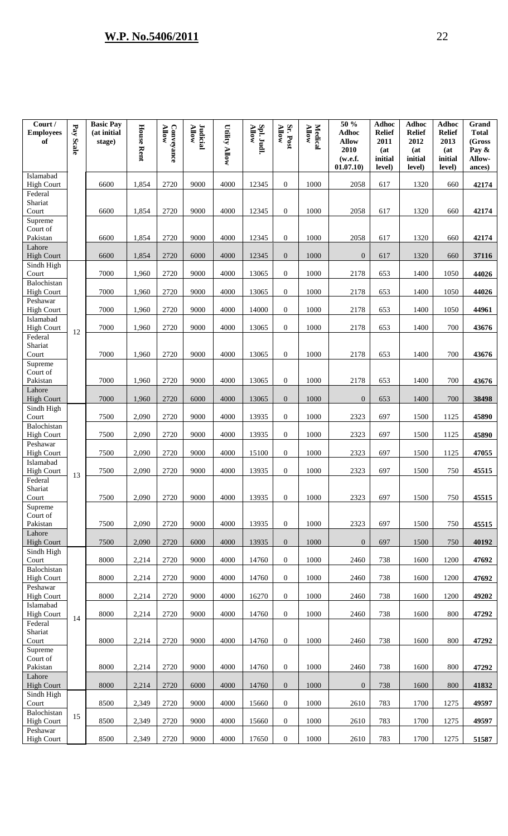| Court /<br><b>Employees</b><br>of            | Pay<br><b>Scale</b> | <b>Basic Pay</b><br>(at initial<br>stage) | <b>House Rent</b> | <b>Allow</b><br>Conveyance | Judicial<br>Allow | <b>Utility Allow</b> | Spl. Judl.<br><b>Allow</b> | Sr. Post<br><b>Allow</b> | <b>Medical</b><br><b>Allow</b> | 50 %<br>Adhoc<br><b>Allow</b><br>2010<br>(w.e.f.<br>01.07.10) | <b>Adhoc</b><br><b>Relief</b><br>2011<br>(at<br>initial<br>level) | <b>Adhoc</b><br><b>Relief</b><br>2012<br>(at)<br>initial<br>level) | <b>Adhoc</b><br><b>Relief</b><br>2013<br>(at<br>initial<br>level) | Grand<br><b>Total</b><br>(Gross<br>Pay &<br>Allow-<br>ances) |
|----------------------------------------------|---------------------|-------------------------------------------|-------------------|----------------------------|-------------------|----------------------|----------------------------|--------------------------|--------------------------------|---------------------------------------------------------------|-------------------------------------------------------------------|--------------------------------------------------------------------|-------------------------------------------------------------------|--------------------------------------------------------------|
| Islamabad<br><b>High Court</b>               |                     | 6600                                      | 1,854             | 2720                       | 9000              | 4000                 | 12345                      | $\overline{0}$           | 1000                           | 2058                                                          | 617                                                               | 1320                                                               | 660                                                               | 42174                                                        |
| Federal<br>Shariat<br>Court<br>Supreme       |                     | 6600                                      | 1,854             | 2720                       | 9000              | 4000                 | 12345                      | $\mathbf{0}$             | 1000                           | 2058                                                          | 617                                                               | 1320                                                               | 660                                                               | 42174                                                        |
| Court of<br>Pakistan<br>Lahore               |                     | 6600                                      | 1,854             | 2720                       | 9000              | 4000                 | 12345                      | $\mathbf{0}$             | 1000                           | 2058                                                          | 617                                                               | 1320                                                               | 660                                                               | 42174                                                        |
| <b>High Court</b><br>Sindh High              |                     | 6600                                      | 1,854             | 2720                       | 6000              | 4000                 | 12345                      | $\mathbf{0}$             | 1000                           | $\boldsymbol{0}$                                              | 617                                                               | 1320                                                               | 660                                                               | 37116                                                        |
| Court<br>Balochistan                         |                     | 7000                                      | 1,960             | 2720                       | 9000              | 4000                 | 13065                      | $\mathbf{0}$             | 1000                           | 2178                                                          | 653                                                               | 1400                                                               | 1050                                                              | 44026                                                        |
| <b>High Court</b><br>Peshawar                |                     | 7000                                      | 1,960             | 2720                       | 9000              | 4000                 | 13065                      | $\overline{0}$           | 1000                           | 2178                                                          | 653                                                               | 1400                                                               | 1050                                                              | 44026                                                        |
| <b>High Court</b><br>Islamabad               |                     | 7000                                      | 1,960             | 2720                       | 9000              | 4000                 | 14000                      | $\overline{0}$           | 1000                           | 2178                                                          | 653                                                               | 1400                                                               | 1050                                                              | 44961                                                        |
| <b>High Court</b><br>Federal                 | 12                  | 7000                                      | 1,960             | 2720                       | 9000              | 4000                 | 13065                      | $\overline{0}$           | 1000                           | 2178                                                          | 653                                                               | 1400                                                               | 700                                                               | 43676                                                        |
| Shariat<br>Court                             |                     | 7000                                      | 1,960             | 2720                       | 9000              | 4000                 | 13065                      | $\mathbf{0}$             | 1000                           | 2178                                                          | 653                                                               | 1400                                                               | 700                                                               | 43676                                                        |
| Supreme<br>Court of<br>Pakistan<br>Lahore    |                     | 7000                                      | 1,960             | 2720                       | 9000              | 4000                 | 13065                      | $\mathbf{0}$             | 1000                           | 2178                                                          | 653                                                               | 1400                                                               | 700                                                               | 43676                                                        |
| <b>High Court</b><br>Sindh High              |                     | 7000                                      | 1,960             | 2720                       | 6000              | 4000                 | 13065                      | $\overline{0}$           | 1000                           | $\Omega$                                                      | 653                                                               | 1400                                                               | 700                                                               | 38498                                                        |
| Court<br>Balochistan                         |                     | 7500                                      | 2,090             | 2720                       | 9000              | 4000                 | 13935                      | $\overline{0}$           | 1000                           | 2323                                                          | 697                                                               | 1500                                                               | 1125                                                              | 45890                                                        |
| <b>High Court</b><br>Peshawar                |                     | 7500                                      | 2,090             | 2720                       | 9000              | 4000                 | 13935                      | $\overline{0}$           | 1000                           | 2323                                                          | 697                                                               | 1500                                                               | 1125                                                              | 45890                                                        |
| <b>High Court</b><br>Islamabad               |                     | 7500                                      | 2,090             | 2720                       | 9000              | 4000                 | 15100                      | $\mathbf{0}$             | 1000                           | 2323                                                          | 697                                                               | 1500                                                               | 1125                                                              | 47055                                                        |
| <b>High Court</b><br>Federal                 | 13                  | 7500                                      | 2,090             | 2720                       | 9000              | 4000                 | 13935                      | $\mathbf{0}$             | 1000                           | 2323                                                          | 697                                                               | 1500                                                               | 750                                                               | 45515                                                        |
| Shariat<br>Court<br>Supreme                  |                     | 7500                                      | 2,090             | 2720                       | 9000              | 4000                 | 13935                      | $\mathbf{0}$             | 1000                           | 2323                                                          | 697                                                               | 1500                                                               | 750                                                               | 45515                                                        |
| Court of<br>Pakistan<br>Lahore               |                     | 7500                                      | 2,090             | 2720                       | 9000              | 4000                 | 13935                      | $\mathbf{0}$             | 1000                           | 2323                                                          | 697                                                               | 1500                                                               | 750                                                               | 45515                                                        |
| <b>High Court</b><br>Sindh High              |                     | 7500                                      | 2,090             | 2720                       | 6000              | 4000                 | 13935                      | $\overline{0}$           | 1000                           | $\overline{0}$                                                | 697                                                               | 1500                                                               | 750                                                               | 40192                                                        |
| Court<br>Balochistan                         |                     | 8000                                      | 2,214             | 2720                       | 9000              | 4000                 | 14760                      | $\mathbf{0}$             | 1000                           | 2460                                                          | 738                                                               | 1600                                                               | 1200                                                              | 47692                                                        |
| <b>High Court</b><br>Peshawar                |                     | 8000                                      | 2,214             | 2720                       | 9000              | 4000                 | 14760                      | $\mathbf{0}$             | 1000                           | 2460                                                          | 738                                                               | 1600                                                               | 1200                                                              | 47692                                                        |
| <b>High Court</b><br>Islamabad               |                     | 8000                                      | 2,214             | 2720                       | 9000              | 4000                 | 16270                      | $\overline{0}$           | 1000                           | 2460                                                          | 738                                                               | 1600                                                               | 1200                                                              | 49202                                                        |
| <b>High Court</b>                            | 14                  | 8000                                      | 2,214             | 2720                       | 9000              | 4000                 | 14760                      | $\mathbf{0}$             | 1000                           | 2460                                                          | 738                                                               | 1600                                                               | 800                                                               | 47292                                                        |
| Federal<br>Shariat<br>Court                  |                     | 8000                                      | 2,214             | 2720                       | 9000              | 4000                 | 14760                      | $\mathbf{0}$             | 1000                           | 2460                                                          | 738                                                               | 1600                                                               | 800                                                               | 47292                                                        |
| Supreme<br>Court of<br>Pakistan              |                     | 8000                                      | 2,214             | 2720                       | 9000              | 4000                 | 14760                      | $\mathbf{0}$             | 1000                           | 2460                                                          | 738                                                               | 1600                                                               | 800                                                               | 47292                                                        |
| Lahore<br><b>High Court</b>                  |                     | 8000                                      | 2,214             | 2720                       | 6000              | 4000                 | 14760                      | $\overline{0}$           | 1000                           | $\mathbf{0}$                                                  | 738                                                               | 1600                                                               | 800                                                               | 41832                                                        |
| Sindh High<br>Court                          |                     | 8500                                      | 2,349             | 2720                       | 9000              | 4000                 | 15660                      | $\overline{0}$           | 1000                           | 2610                                                          | 783                                                               | 1700                                                               | 1275                                                              | 49597                                                        |
| Balochistan<br><b>High Court</b><br>Peshawar | 15                  | 8500                                      | 2,349             | 2720                       | 9000              | 4000                 | 15660                      | $\overline{0}$           | 1000                           | 2610                                                          | 783                                                               | 1700                                                               | 1275                                                              | 49597                                                        |
| <b>High Court</b>                            |                     | 8500                                      | 2,349             | 2720                       | 9000              | 4000                 | 17650                      | $\mathbf{0}$             | 1000                           | 2610                                                          | 783                                                               | 1700                                                               | 1275                                                              | 51587                                                        |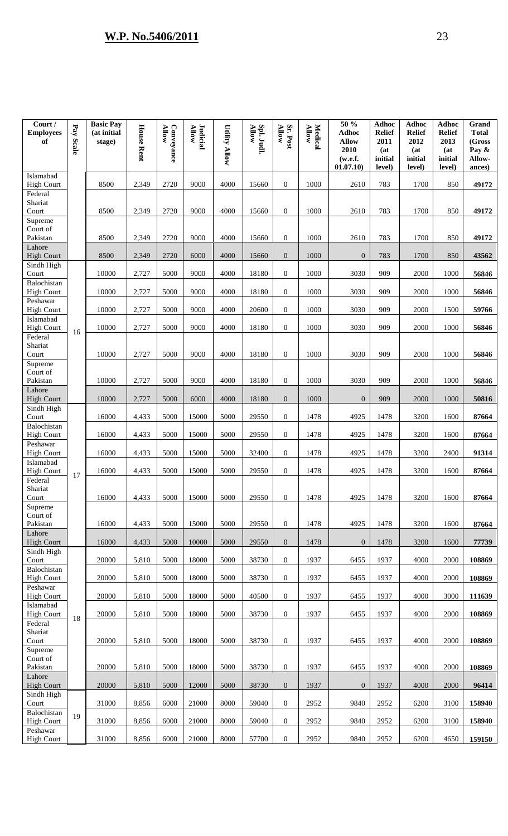| Court /<br><b>Employees</b><br>of            | Pay<br>Scale | <b>Basic Pay</b><br>(at initial<br>stage) | <b>House Rent</b> | <b>Allow</b><br>Conveyance | Judicial<br>Allow | <b>Utility Allow</b> | Spl. Judl.<br>Allow | Sr. Post<br><b>Allow</b> | <b>Medical</b><br><b>Allow</b> | 50 %<br><b>Adhoc</b><br><b>Allow</b><br>2010<br>(w.e.f.<br>01.07.10) | <b>Adhoc</b><br><b>Relief</b><br>2011<br>(at<br>initial<br>level) | <b>Adhoc</b><br><b>Relief</b><br>2012<br>(at)<br>initial<br>level) | <b>Adhoc</b><br><b>Relief</b><br>2013<br>(at<br>initial<br>level) | Grand<br><b>Total</b><br>(Gross<br>Pay &<br>Allow-<br>ances) |
|----------------------------------------------|--------------|-------------------------------------------|-------------------|----------------------------|-------------------|----------------------|---------------------|--------------------------|--------------------------------|----------------------------------------------------------------------|-------------------------------------------------------------------|--------------------------------------------------------------------|-------------------------------------------------------------------|--------------------------------------------------------------|
| Islamabad<br><b>High Court</b>               |              | 8500                                      | 2,349             | 2720                       | 9000              | 4000                 | 15660               | $\overline{0}$           | 1000                           | 2610                                                                 | 783                                                               | 1700                                                               | 850                                                               | 49172                                                        |
| Federal<br>Shariat<br>Court                  |              | 8500                                      | 2,349             | 2720                       | 9000              | 4000                 | 15660               | $\mathbf{0}$             | 1000                           | 2610                                                                 | 783                                                               | 1700                                                               | 850                                                               | 49172                                                        |
| Supreme<br>Court of<br>Pakistan<br>Lahore    |              | 8500                                      | 2,349             | 2720                       | 9000              | 4000                 | 15660               | $\mathbf{0}$             | 1000                           | 2610                                                                 | 783                                                               | 1700                                                               | 850                                                               | 49172                                                        |
| <b>High Court</b><br>Sindh High              |              | 8500                                      | 2,349             | 2720                       | 6000              | 4000                 | 15660               | $\mathbf{0}$             | 1000                           | $\mathbf{0}$                                                         | 783                                                               | 1700                                                               | 850                                                               | 43562                                                        |
| Court<br>Balochistan                         |              | 10000                                     | 2,727             | 5000                       | 9000              | 4000                 | 18180               | $\overline{0}$           | 1000                           | 3030                                                                 | 909                                                               | 2000                                                               | 1000                                                              | 56846                                                        |
| <b>High Court</b><br>Peshawar                |              | 10000                                     | 2,727             | 5000                       | 9000              | 4000                 | 18180               | $\overline{0}$           | 1000                           | 3030                                                                 | 909                                                               | 2000                                                               | 1000                                                              | 56846                                                        |
| <b>High Court</b>                            |              | 10000                                     | 2,727             | 5000                       | 9000              | 4000                 | 20600               | $\overline{0}$           | 1000                           | 3030                                                                 | 909                                                               | 2000                                                               | 1500                                                              | 59766                                                        |
| Islamabad<br><b>High Court</b>               | 16           | 10000                                     | 2,727             | 5000                       | 9000              | 4000                 | 18180               | $\overline{0}$           | 1000                           | 3030                                                                 | 909                                                               | 2000                                                               | 1000                                                              | 56846                                                        |
| Federal<br>Shariat<br>Court                  |              | 10000                                     | 2,727             | 5000                       | 9000              | 4000                 | 18180               | $\overline{0}$           | 1000                           | 3030                                                                 | 909                                                               | 2000                                                               | 1000                                                              | 56846                                                        |
| Supreme<br>Court of<br>Pakistan<br>Lahore    |              | 10000                                     | 2,727             | 5000                       | 9000              | 4000                 | 18180               | $\mathbf{0}$             | 1000                           | 3030                                                                 | 909                                                               | 2000                                                               | 1000                                                              | 56846                                                        |
| <b>High Court</b><br>Sindh High              |              | 10000                                     | 2,727             | 5000                       | 6000              | 4000                 | 18180               | $\overline{0}$           | 1000                           | $\overline{0}$                                                       | 909                                                               | 2000                                                               | 1000                                                              | 50816                                                        |
| Court                                        |              | 16000                                     | 4,433             | 5000                       | 15000             | 5000                 | 29550               | $\mathbf{0}$             | 1478                           | 4925                                                                 | 1478                                                              | 3200                                                               | 1600                                                              | 87664                                                        |
| Balochistan<br><b>High Court</b>             |              | 16000                                     | 4,433             | 5000                       | 15000             | 5000                 | 29550               | $\mathbf{0}$             | 1478                           | 4925                                                                 | 1478                                                              | 3200                                                               | 1600                                                              | 87664                                                        |
| Peshawar<br><b>High Court</b>                |              | 16000                                     | 4,433             | 5000                       | 15000             | 5000                 | 32400               | $\overline{0}$           | 1478                           | 4925                                                                 | 1478                                                              | 3200                                                               | 2400                                                              | 91314                                                        |
| Islamabad<br><b>High Court</b>               | 17           | 16000                                     | 4,433             | 5000                       | 15000             | 5000                 | 29550               | $\overline{0}$           | 1478                           | 4925                                                                 | 1478                                                              | 3200                                                               | 1600                                                              | 87664                                                        |
| Federal<br>Shariat<br>Court                  |              | 16000                                     | 4,433             | 5000                       | 15000             | 5000                 | 29550               | $\mathbf{0}$             | 1478                           | 4925                                                                 | 1478                                                              | 3200                                                               | 1600                                                              | 87664                                                        |
| Supreme<br>Court of<br>Pakistan              |              | 16000                                     | 4,433             | 5000                       | 15000             | 5000                 | 29550               | $\boldsymbol{0}$         | 1478                           | 4925                                                                 | 1478                                                              | 3200                                                               | 1600                                                              | 87664                                                        |
| Lahore<br><b>High Court</b>                  |              | 16000                                     | 4,433             | 5000                       | 10000             | 5000                 | 29550               | $\overline{0}$           | 1478                           | $\overline{0}$                                                       | 1478                                                              | 3200                                                               | 1600                                                              | 77739                                                        |
| Sindh High<br>Court                          |              | 20000                                     | 5,810             | 5000                       | 18000             | 5000                 | 38730               | $\mathbf{0}$             | 1937                           | 6455                                                                 | 1937                                                              | 4000                                                               | 2000                                                              | 108869                                                       |
| Balochistan<br><b>High Court</b>             |              | 20000                                     | 5,810             | 5000                       | 18000             | 5000                 | 38730               | $\overline{0}$           | 1937                           | 6455                                                                 | 1937                                                              | 4000                                                               | 2000                                                              | 108869                                                       |
| Peshawar<br><b>High Court</b>                |              | 20000                                     | 5,810             | 5000                       | 18000             | 5000                 | 40500               | $\overline{0}$           | 1937                           | 6455                                                                 | 1937                                                              | 4000                                                               | 3000                                                              | 111639                                                       |
| Islamabad<br><b>High Court</b>               | 18           | 20000                                     | 5,810             | 5000                       | 18000             | 5000                 | 38730               | $\boldsymbol{0}$         | 1937                           | 6455                                                                 | 1937                                                              | 4000                                                               | 2000                                                              | 108869                                                       |
| Federal<br>Shariat<br>Court                  |              | 20000                                     | 5,810             | 5000                       | 18000             | 5000                 | 38730               | $\boldsymbol{0}$         | 1937                           | 6455                                                                 | 1937                                                              | 4000                                                               | 2000                                                              | 108869                                                       |
| Supreme<br>Court of<br>Pakistan              |              | 20000                                     | 5,810             | 5000                       | 18000             | 5000                 | 38730               | $\overline{0}$           | 1937                           | 6455                                                                 | 1937                                                              | 4000                                                               | 2000                                                              | 108869                                                       |
| Lahore<br><b>High Court</b>                  |              | 20000                                     | 5,810             | 5000                       | 12000             | 5000                 | 38730               | $\overline{0}$           | 1937                           | $\overline{0}$                                                       | 1937                                                              | 4000                                                               | 2000                                                              | 96414                                                        |
| Sindh High<br>Court                          |              | 31000                                     | 8,856             | 6000                       | 21000             | 8000                 | 59040               | $\overline{0}$           | 2952                           | 9840                                                                 | 2952                                                              | 6200                                                               | 3100                                                              | 158940                                                       |
| Balochistan<br><b>High Court</b><br>Peshawar | 19           | 31000                                     | 8,856             | 6000                       | 21000             | 8000                 | 59040               | $\overline{0}$           | 2952                           | 9840                                                                 | 2952                                                              | 6200                                                               | 3100                                                              | 158940                                                       |
| <b>High Court</b>                            |              | 31000                                     | 8,856             | 6000                       | 21000             | 8000                 | 57700               | $\overline{0}$           | 2952                           | 9840                                                                 | 2952                                                              | 6200                                                               | 4650                                                              | 159150                                                       |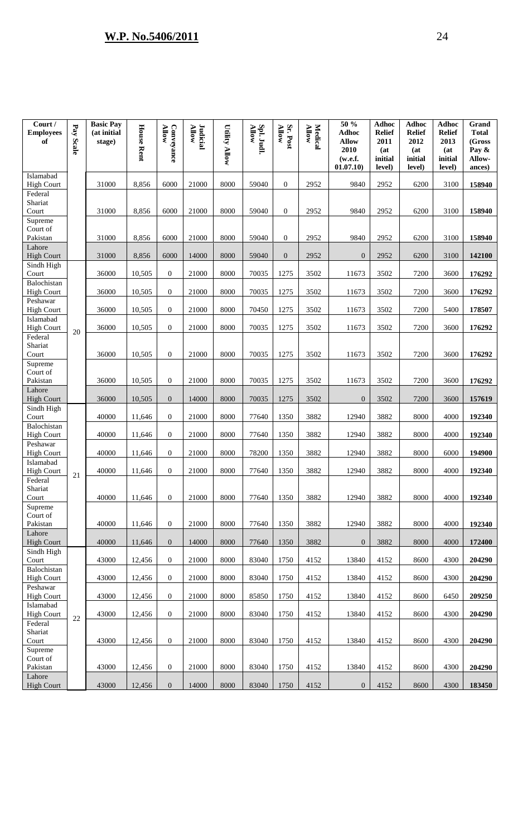| Court /<br><b>Employees</b><br>of         | $\mathbf{Pa}$<br>Scale | <b>Basic Pay</b><br>(at initial<br>stage) | <b>House Rent</b> | Conveyance<br><b>Allow</b> | Judicial<br>Allow | <b>Utility Allow</b> | Spl. Judl<br><b>Allow</b> | Sr. Post<br><b>Allow</b> | Medical<br>Allow | 50 %<br><b>Adhoc</b><br><b>Allow</b><br>2010<br>(w.e.f.<br>01.07.10) | <b>Adhoc</b><br><b>Relief</b><br>2011<br>(at<br>initial<br>level) | <b>Adhoc</b><br><b>Relief</b><br>2012<br>(at<br>initial<br>level) | <b>Adhoc</b><br><b>Relief</b><br>2013<br>(at<br>initial<br>level) | Grand<br><b>Total</b><br>(Gross<br>Pay &<br>Allow-<br>ances) |
|-------------------------------------------|------------------------|-------------------------------------------|-------------------|----------------------------|-------------------|----------------------|---------------------------|--------------------------|------------------|----------------------------------------------------------------------|-------------------------------------------------------------------|-------------------------------------------------------------------|-------------------------------------------------------------------|--------------------------------------------------------------|
| Islamabad<br><b>High Court</b>            |                        | 31000                                     | 8,856             | 6000                       | 21000             | 8000                 | 59040                     | $\mathbf{0}$             | 2952             | 9840                                                                 | 2952                                                              | 6200                                                              | 3100                                                              | 158940                                                       |
| Federal<br>Shariat<br>Court               |                        | 31000                                     | 8,856             | 6000                       | 21000             | 8000                 | 59040                     | $\overline{0}$           | 2952             | 9840                                                                 | 2952                                                              | 6200                                                              | 3100                                                              | 158940                                                       |
| Supreme<br>Court of<br>Pakistan           |                        | 31000                                     | 8,856             | 6000                       | 21000             | 8000                 | 59040                     | $\overline{0}$           | 2952             | 9840                                                                 | 2952                                                              | 6200                                                              | 3100                                                              | 158940                                                       |
| Lahore<br><b>High Court</b>               |                        | 31000                                     | 8,856             | 6000                       | 14000             | 8000                 | 59040                     | $\overline{0}$           | 2952             | $\overline{0}$                                                       | 2952                                                              | 6200                                                              | 3100                                                              | 142100                                                       |
| Sindh High<br>Court                       |                        | 36000                                     | 10,505            | $\overline{0}$             | 21000             | 8000                 | 70035                     | 1275                     | 3502             | 11673                                                                | 3502                                                              | 7200                                                              | 3600                                                              | 176292                                                       |
| Balochistan<br><b>High Court</b>          |                        | 36000                                     | 10,505            | $\Omega$                   | 21000             | 8000                 | 70035                     | 1275                     | 3502             | 11673                                                                | 3502                                                              | 7200                                                              | 3600                                                              | 176292                                                       |
| Peshawar<br><b>High Court</b>             |                        | 36000                                     | 10,505            | $\Omega$                   | 21000             | 8000                 | 70450                     | 1275                     | 3502             | 11673                                                                | 3502                                                              | 7200                                                              | 5400                                                              | 178507                                                       |
| Islamabad<br><b>High Court</b>            |                        | 36000                                     | 10,505            | $\theta$                   | 21000             | 8000                 | 70035                     | 1275                     | 3502             | 11673                                                                | 3502                                                              | 7200                                                              | 3600                                                              | 176292                                                       |
| Federal<br>Shariat<br>Court               | 20                     | 36000                                     | 10,505            | $\theta$                   | 21000             | 8000                 | 70035                     | 1275                     | 3502             | 11673                                                                | 3502                                                              | 7200                                                              | 3600                                                              | 176292                                                       |
| Supreme<br>Court of<br>Pakistan<br>Lahore |                        | 36000                                     | 10,505            | $\theta$                   | 21000             | 8000                 | 70035                     | 1275                     | 3502             | 11673                                                                | 3502                                                              | 7200                                                              | 3600                                                              | 176292                                                       |
| <b>High Court</b>                         |                        | 36000                                     | 10,505            | $\Omega$                   | 14000             | 8000                 | 70035                     | 1275                     | 3502             | $\Omega$                                                             | 3502                                                              | 7200                                                              | 3600                                                              | 157619                                                       |
| Sindh High<br>Court                       |                        | 40000                                     | 11,646            | $\theta$                   | 21000             | 8000                 | 77640                     | 1350                     | 3882             | 12940                                                                | 3882                                                              | 8000                                                              | 4000                                                              | 192340                                                       |
| Balochistan<br><b>High Court</b>          |                        | 40000                                     | 11,646            | $\overline{0}$             | 21000             | 8000                 | 77640                     | 1350                     | 3882             | 12940                                                                | 3882                                                              | 8000                                                              | 4000                                                              | 192340                                                       |
| Peshawar<br><b>High Court</b>             |                        | 40000                                     | 11,646            | $\overline{0}$             | 21000             | 8000                 | 78200                     | 1350                     | 3882             | 12940                                                                | 3882                                                              | 8000                                                              | 6000                                                              | 194900                                                       |
| Islamabad<br><b>High Court</b>            | 21                     | 40000                                     | 11,646            | $\Omega$                   | 21000             | 8000                 | 77640                     | 1350                     | 3882             | 12940                                                                | 3882                                                              | 8000                                                              | 4000                                                              | 192340                                                       |
| Federal<br>Shariat<br>Court               |                        | 40000                                     | 11,646            | $\mathbf{0}$               | 21000             | 8000                 | 77640                     | 1350                     | 3882             | 12940                                                                | 3882                                                              | 8000                                                              | 4000                                                              | 192340                                                       |
| Supreme<br>Court of<br>Pakistan           |                        | 40000                                     | 11,646            | $\overline{0}$             | 21000             | 8000                 | 77640                     | 1350                     | 3882             | 12940                                                                | 3882                                                              | 8000                                                              | 4000                                                              | 192340                                                       |
| Lahore<br><b>High Court</b>               |                        | 40000                                     | 11,646            | $\overline{0}$             | 14000             | 8000                 | 77640                     | 1350                     | 3882             | $\mathbf{0}$                                                         | 3882                                                              | 8000                                                              | 4000                                                              | 172400                                                       |
| Sindh High<br>Court                       |                        | 43000                                     | 12,456            | $\overline{0}$             | 21000             | 8000                 | 83040                     | 1750                     | 4152             | 13840                                                                | 4152                                                              | 8600                                                              | 4300                                                              | 204290                                                       |
| Balochistan<br><b>High Court</b>          |                        | 43000                                     | 12,456            | $\overline{0}$             | 21000             | 8000                 | 83040                     | 1750                     | 4152             | 13840                                                                | 4152                                                              | 8600                                                              | 4300                                                              | 204290                                                       |
| Peshawar<br><b>High Court</b>             |                        | 43000                                     | 12,456            | $\boldsymbol{0}$           | 21000             | 8000                 | 85850                     | 1750                     | 4152             | 13840                                                                | 4152                                                              | 8600                                                              | 6450                                                              | 209250                                                       |
| Islamabad<br><b>High Court</b>            | $22\,$                 | 43000                                     | 12,456            | $\overline{0}$             | 21000             | 8000                 | 83040                     | 1750                     | 4152             | 13840                                                                | 4152                                                              | 8600                                                              | 4300                                                              | 204290                                                       |
| Federal<br>Shariat<br>Court               |                        | 43000                                     | 12,456            | $\overline{0}$             | 21000             | 8000                 | 83040                     | 1750                     | 4152             | 13840                                                                | 4152                                                              | 8600                                                              | 4300                                                              | 204290                                                       |
| Supreme<br>Court of<br>Pakistan           |                        | 43000                                     | 12,456            | $\boldsymbol{0}$           | 21000             | 8000                 | 83040                     | 1750                     | 4152             | 13840                                                                | 4152                                                              | 8600                                                              | 4300                                                              | 204290                                                       |
| Lahore<br><b>High Court</b>               |                        | 43000                                     | 12,456            | $\mathbf{0}$               | 14000             | 8000                 | 83040                     | 1750                     | 4152             | $\mathbf{0}$                                                         | 4152                                                              | 8600                                                              | 4300                                                              | 183450                                                       |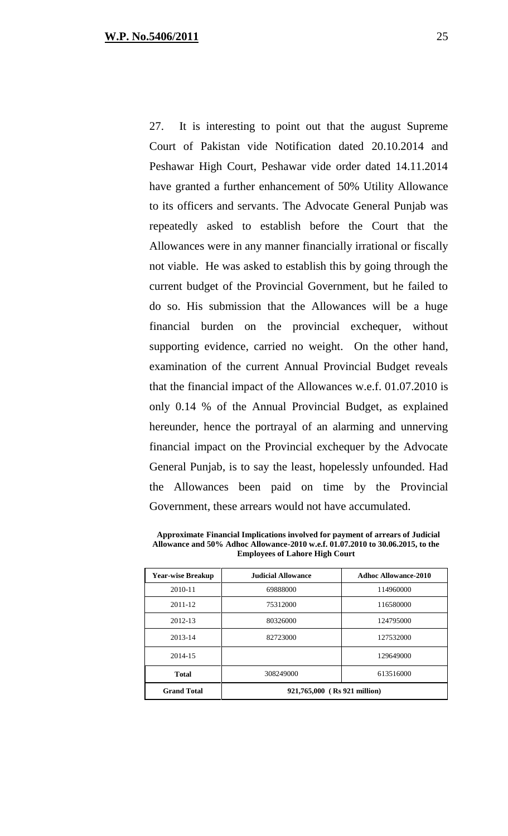27. It is interesting to point out that the august Supreme Court of Pakistan vide Notification dated 20.10.2014 and Peshawar High Court, Peshawar vide order dated 14.11.2014 have granted a further enhancement of 50% Utility Allowance to its officers and servants. The Advocate General Punjab was repeatedly asked to establish before the Court that the Allowances were in any manner financially irrational or fiscally not viable. He was asked to establish this by going through the current budget of the Provincial Government, but he failed to do so. His submission that the Allowances will be a huge financial burden on the provincial exchequer, without supporting evidence, carried no weight. On the other hand, examination of the current Annual Provincial Budget reveals that the financial impact of the Allowances w.e.f. 01.07.2010 is only 0.14 % of the Annual Provincial Budget, as explained hereunder, hence the portrayal of an alarming and unnerving financial impact on the Provincial exchequer by the Advocate General Punjab, is to say the least, hopelessly unfounded. Had the Allowances been paid on time by the Provincial Government, these arrears would not have accumulated.

| <b>Year-wise Breakup</b> | <b>Judicial Allowance</b>    | <b>Adhoc Allowance-2010</b> |
|--------------------------|------------------------------|-----------------------------|
| 2010-11                  | 69888000                     | 114960000                   |
| 2011-12                  | 75312000                     | 116580000                   |
| 2012-13                  | 80326000                     | 124795000                   |
| 2013-14                  | 82723000                     | 127532000                   |
| 2014-15                  |                              | 129649000                   |
| <b>Total</b>             | 308249000                    | 613516000                   |
| <b>Grand Total</b>       | 921,765,000 (Rs 921 million) |                             |

 **Approximate Financial Implications involved for payment of arrears of Judicial Allowance and 50% Adhoc Allowance-2010 w.e.f. 01.07.2010 to 30.06.2015, to the Employees of Lahore High Court**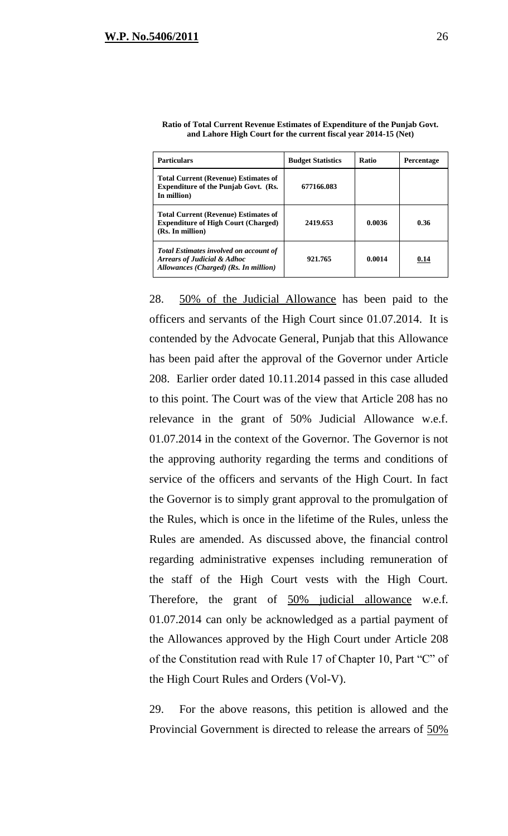| <b>Particulars</b>                                                                                                               | <b>Budget Statistics</b> | <b>Ratio</b> | <b>Percentage</b> |
|----------------------------------------------------------------------------------------------------------------------------------|--------------------------|--------------|-------------------|
| <b>Total Current (Revenue) Estimates of</b><br><b>Expenditure of the Punjab Govt. (Rs.</b><br>In million)                        | 677166.083               |              |                   |
| <b>Total Current (Revenue) Estimates of</b><br><b>Expenditure of High Court (Charged)</b><br>(Rs. In million)                    | 2419.653                 | 0.0036       | 0.36              |
| <b>Total Estimates involved on account of</b><br><b>Arrears of Judicial &amp; Adhoc</b><br>Allowances (Charged) (Rs. In million) | 921.765                  | 0.0014       | 0.14              |

| Ratio of Total Current Revenue Estimates of Expenditure of the Punjab Govt. |
|-----------------------------------------------------------------------------|
| and Lahore High Court for the current fiscal year 2014-15 (Net)             |

28. 50% of the Judicial Allowance has been paid to the officers and servants of the High Court since 01.07.2014. It is contended by the Advocate General, Punjab that this Allowance has been paid after the approval of the Governor under Article 208. Earlier order dated 10.11.2014 passed in this case alluded to this point. The Court was of the view that Article 208 has no relevance in the grant of 50% Judicial Allowance w.e.f. 01.07.2014 in the context of the Governor. The Governor is not the approving authority regarding the terms and conditions of service of the officers and servants of the High Court. In fact the Governor is to simply grant approval to the promulgation of the Rules, which is once in the lifetime of the Rules, unless the Rules are amended. As discussed above, the financial control regarding administrative expenses including remuneration of the staff of the High Court vests with the High Court. Therefore, the grant of 50% judicial allowance w.e.f. 01.07.2014 can only be acknowledged as a partial payment of the Allowances approved by the High Court under Article 208 of the Constitution read with Rule 17 of Chapter 10, Part "C" of the High Court Rules and Orders (Vol-V).

29. For the above reasons, this petition is allowed and the Provincial Government is directed to release the arrears of 50%